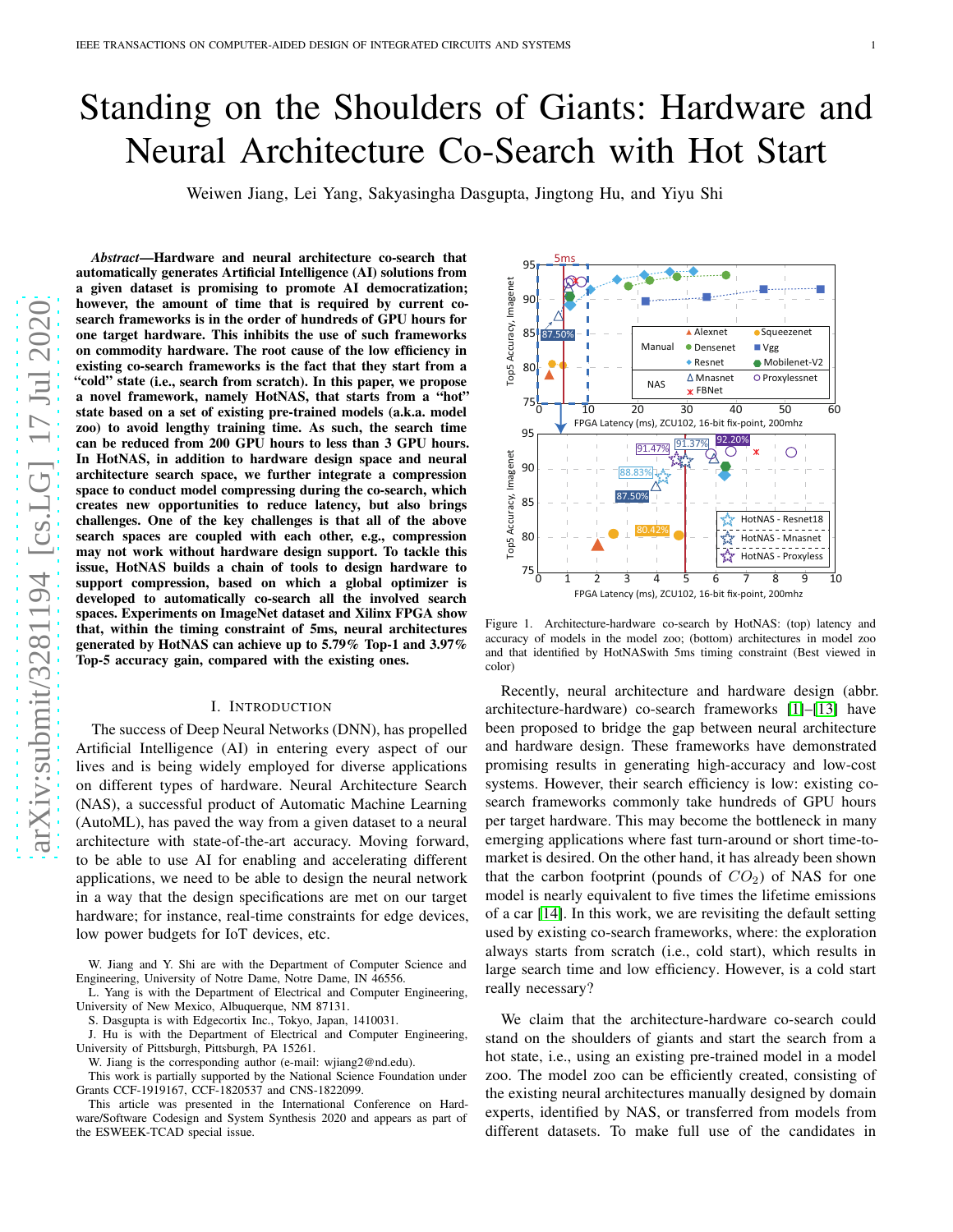# Standing on the Shoulders of Giants: Hardware and Neural Architecture Co-Search with Hot Start

Weiwen Jiang, Lei Yang, Sakyasingha Dasgupta, Jingtong Hu, and Yiyu Shi

*Abstract*—Hardware and neural architecture co-search that automatically generates Artificial Intelligence (AI) solutions from a given dataset is promising to promote AI democratization; however, the amount of time that is required by current cosearch frameworks is in the order of hundreds of GPU hours for one target hardware. This inhibits the use of such frameworks on commodity hardware. The root cause of the low efficiency in existing co-search frameworks is the fact that they start from a "cold" state (i.e., search from scratch). In this paper, we propose a novel framework, namely HotNAS, that starts from a "hot" state based on a set of existing pre-trained models (a.k.a. model zoo) to avoid lengthy training time. As such, the search time can be reduced from 200 GPU hours to less than 3 GPU hours. In HotNAS, in addition to hardware design space and neural architecture search space, we further integrate a compression space to conduct model compressing during the co-search, which creates new opportunities to reduce latency, but also brings challenges. One of the key challenges is that all of the above search spaces are coupled with each other, e.g., compression may not work without hardware design support. To tackle this issue, HotNAS builds a chain of tools to design hardware to support compression, based on which a global optimizer is developed to automatically co-search all the involved search spaces. Experiments on ImageNet dataset and Xilinx FPGA show that, within the timing constraint of 5ms, neural architectures generated by HotNAS can achieve up to 5.79% Top-1 and 3.97% Top-5 accuracy gain, compared with the existing ones.

## I. INTRODUCTION

The success of Deep Neural Networks (DNN), has propelled Artificial Intelligence (AI) in entering every aspect of our lives and is being widely employed for diverse applications on different types of hardware. Neural Architecture Search (NAS), a successful product of Automatic Machine Learning (AutoML), has paved the way from a given dataset to a neural architecture with state-of-the-art accuracy. Moving forward, to be able to use AI for enabling and accelerating different applications, we need to be able to design the neural network in a way that the design specifications are met on our target hardware; for instance, real-time constraints for edge devices, low power budgets for IoT devices, etc.

W. Jiang and Y. Shi are with the Department of Computer Science and Engineering, University of Notre Dame, Notre Dame, IN 46556.

L. Yang is with the Department of Electrical and Computer Engineering, University of New Mexico, Albuquerque, NM 87131.

S. Dasgupta is with Edgecortix Inc., Tokyo, Japan, 1410031.

J. Hu is with the Department of Electrical and Computer Engineering, University of Pittsburgh, Pittsburgh, PA 15261.

W. Jiang is the corresponding author (e-mail: wjiang2@nd.edu).

This work is partially supported by the National Science Foundation under Grants CCF-1919167, CCF-1820537 and CNS-1822099.

This article was presented in the International Conference on Hardware/Software Codesign and System Synthesis 2020 and appears as part of the ESWEEK-TCAD special issue.



<span id="page-0-0"></span>Figure 1. Architecture-hardware co-search by HotNAS: (top) latency and accuracy of models in the model zoo; (bottom) architectures in model zoo and that identified by HotNASwith 5ms timing constraint (Best viewed in color)

Recently, neural architecture and hardware design (abbr. architecture-hardware) co-search frameworks [\[1\]](#page-11-0)–[\[13\]](#page-12-0) have been proposed to bridge the gap between neural architecture and hardware design. These frameworks have demonstrated promising results in generating high-accuracy and low-cost systems. However, their search efficiency is low: existing cosearch frameworks commonly take hundreds of GPU hours per target hardware. This may become the bottleneck in many emerging applications where fast turn-around or short time-tomarket is desired. On the other hand, it has already been shown that the carbon footprint (pounds of  $CO<sub>2</sub>$ ) of NAS for one model is nearly equivalent to five times the lifetime emissions of a car [\[14\]](#page-12-1). In this work, we are revisiting the default setting used by existing co-search frameworks, where: the exploration always starts from scratch (i.e., cold start), which results in large search time and low efficiency. However, is a cold start really necessary?

We claim that the architecture-hardware co-search could stand on the shoulders of giants and start the search from a hot state, i.e., using an existing pre-trained model in a model zoo. The model zoo can be efficiently created, consisting of the existing neural architectures manually designed by domain experts, identified by NAS, or transferred from models from different datasets. To make full use of the candidates in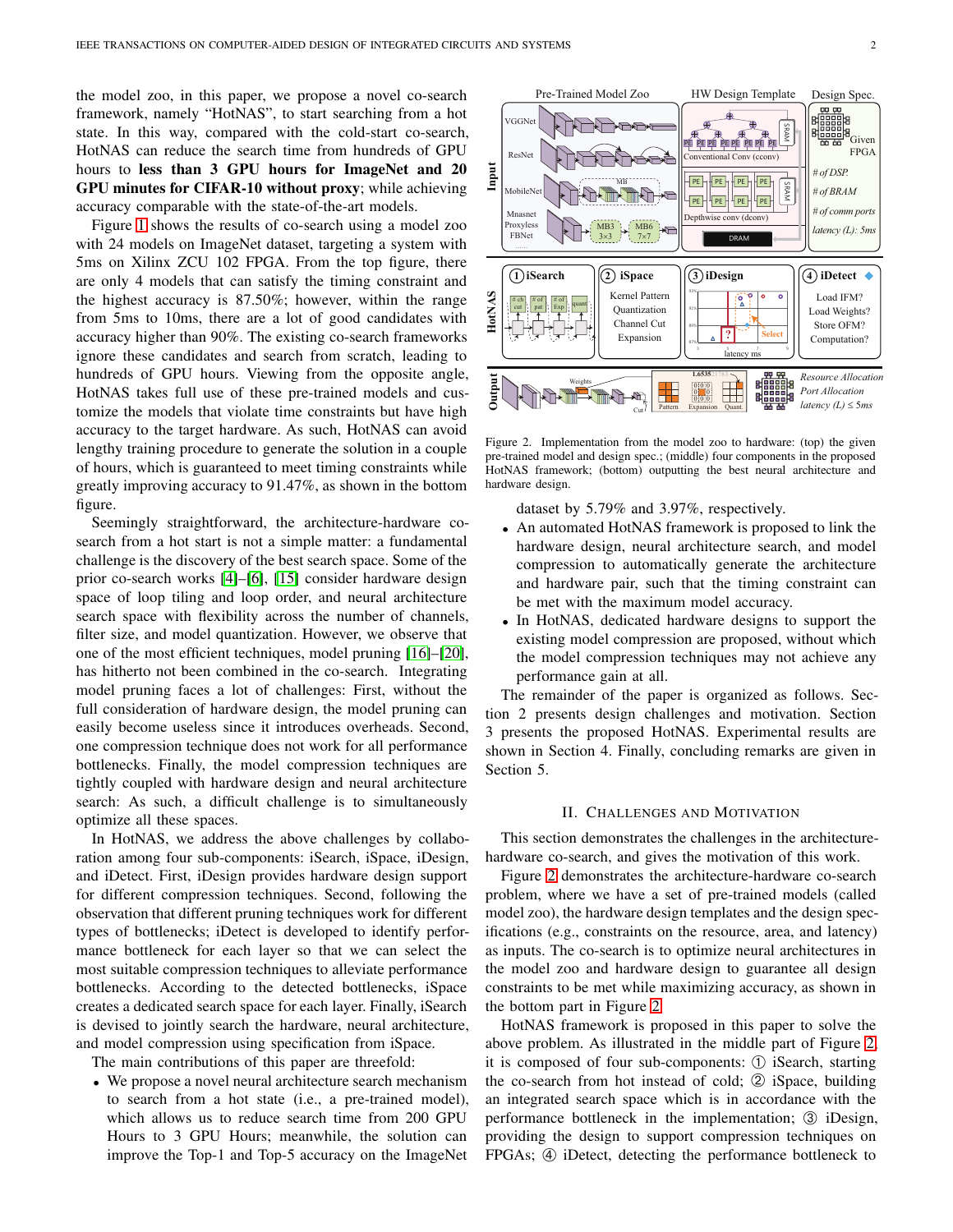the model zoo, in this paper, we propose a novel co-search framework, namely "HotNAS", to start searching from a hot state. In this way, compared with the cold-start co-search, HotNAS can reduce the search time from hundreds of GPU hours to less than 3 GPU hours for ImageNet and 20 GPU minutes for CIFAR-10 without proxy; while achieving accuracy comparable with the state-of-the-art models.

Figure [1](#page-0-0) shows the results of co-search using a model zoo with 24 models on ImageNet dataset, targeting a system with 5ms on Xilinx ZCU 102 FPGA. From the top figure, there are only 4 models that can satisfy the timing constraint and the highest accuracy is 87.50%; however, within the range from 5ms to 10ms, there are a lot of good candidates with accuracy higher than 90%. The existing co-search frameworks ignore these candidates and search from scratch, leading to hundreds of GPU hours. Viewing from the opposite angle, HotNAS takes full use of these pre-trained models and customize the models that violate time constraints but have high accuracy to the target hardware. As such, HotNAS can avoid lengthy training procedure to generate the solution in a couple of hours, which is guaranteed to meet timing constraints while greatly improving accuracy to 91.47%, as shown in the bottom figure.

Seemingly straightforward, the architecture-hardware cosearch from a hot start is not a simple matter: a fundamental challenge is the discovery of the best search space. Some of the prior co-search works [\[4\]](#page-11-1)–[\[6\]](#page-11-2), [\[15\]](#page-12-2) consider hardware design space of loop tiling and loop order, and neural architecture search space with flexibility across the number of channels, filter size, and model quantization. However, we observe that one of the most efficient techniques, model pruning [\[16\]](#page-12-3)–[\[20\]](#page-12-4), has hitherto not been combined in the co-search. Integrating model pruning faces a lot of challenges: First, without the full consideration of hardware design, the model pruning can easily become useless since it introduces overheads. Second, one compression technique does not work for all performance bottlenecks. Finally, the model compression techniques are tightly coupled with hardware design and neural architecture search: As such, a difficult challenge is to simultaneously optimize all these spaces.

In HotNAS, we address the above challenges by collaboration among four sub-components: iSearch, iSpace, iDesign, and iDetect. First, iDesign provides hardware design support for different compression techniques. Second, following the observation that different pruning techniques work for different types of bottlenecks; iDetect is developed to identify performance bottleneck for each layer so that we can select the most suitable compression techniques to alleviate performance bottlenecks. According to the detected bottlenecks, iSpace creates a dedicated search space for each layer. Finally, iSearch is devised to jointly search the hardware, neural architecture, and model compression using specification from iSpace.

The main contributions of this paper are threefold:

• We propose a novel neural architecture search mechanism to search from a hot state (i.e., a pre-trained model), which allows us to reduce search time from 200 GPU Hours to 3 GPU Hours; meanwhile, the solution can improve the Top-1 and Top-5 accuracy on the ImageNet



Pre-Trained Model Zoo HW Design Template Design Spec.

 $\overline{a}$ 

VGGNe

<span id="page-1-0"></span>Figure 2. Implementation from the model zoo to hardware: (top) the given pre-trained model and design spec.; (middle) four components in the proposed HotNAS framework; (bottom) outputting the best neural architecture and hardware design.

dataset by 5.79% and 3.97%, respectively.

- An automated HotNAS framework is proposed to link the hardware design, neural architecture search, and model compression to automatically generate the architecture and hardware pair, such that the timing constraint can be met with the maximum model accuracy.
- In HotNAS, dedicated hardware designs to support the existing model compression are proposed, without which the model compression techniques may not achieve any performance gain at all.

The remainder of the paper is organized as follows. Section 2 presents design challenges and motivation. Section 3 presents the proposed HotNAS. Experimental results are shown in Section 4. Finally, concluding remarks are given in Section 5.

# II. CHALLENGES AND MOTIVATION

This section demonstrates the challenges in the architecturehardware co-search, and gives the motivation of this work.

Figure [2](#page-1-0) demonstrates the architecture-hardware co-search problem, where we have a set of pre-trained models (called model zoo), the hardware design templates and the design specifications (e.g., constraints on the resource, area, and latency) as inputs. The co-search is to optimize neural architectures in the model zoo and hardware design to guarantee all design constraints to be met while maximizing accuracy, as shown in the bottom part in Figure [2](#page-1-0)

HotNAS framework is proposed in this paper to solve the above problem. As illustrated in the middle part of Figure [2,](#page-1-0) it is composed of four sub-components: ➀ iSearch, starting the co-search from hot instead of cold;  $\odot$  iSpace, building an integrated search space which is in accordance with the performance bottleneck in the implementation; 3 iDesign, providing the design to support compression techniques on FPGAs; ➃ iDetect, detecting the performance bottleneck to

ees<br>Sees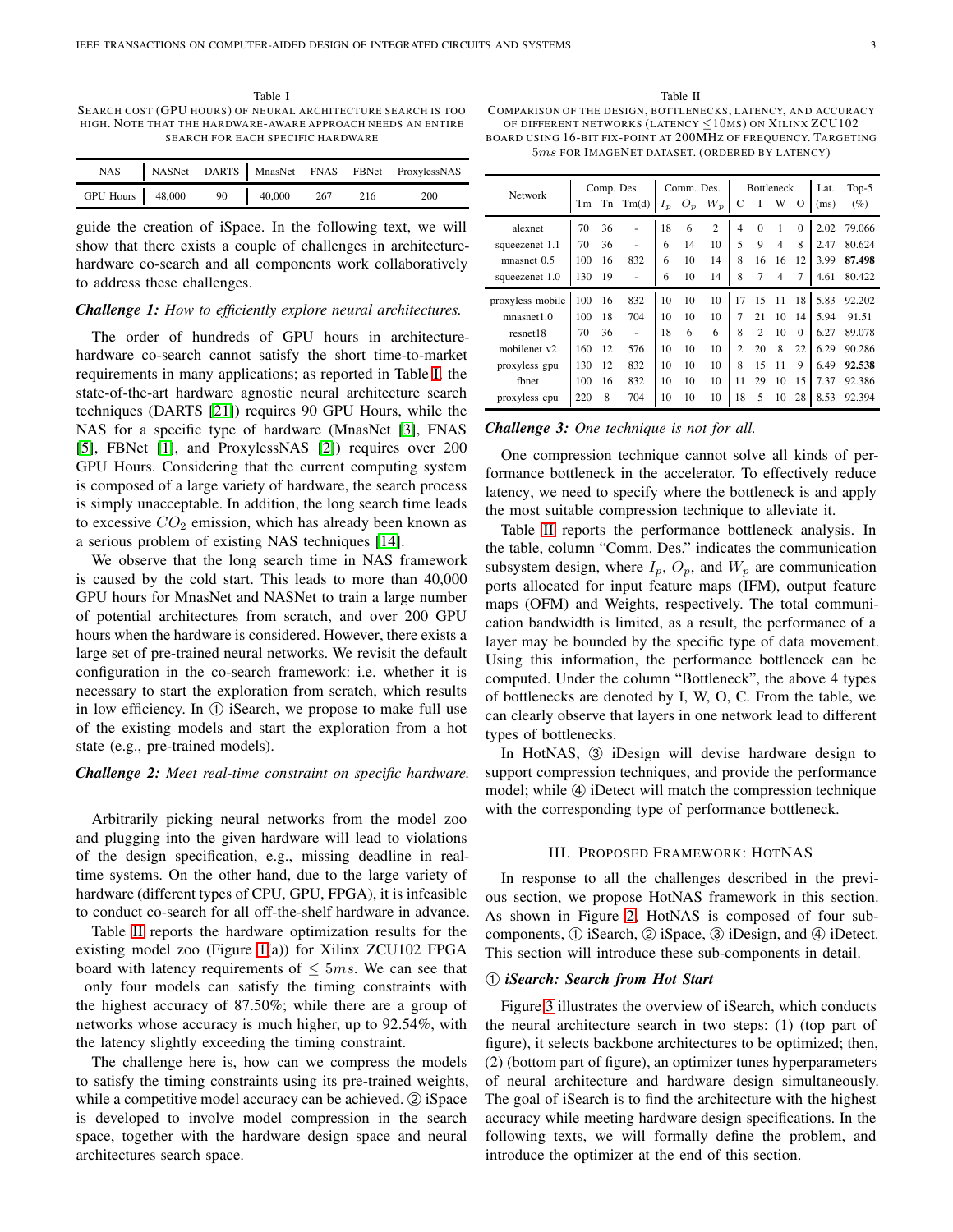<span id="page-2-0"></span>Table I SEARCH COST (GPU HOURS) OF NEURAL ARCHITECTURE SEARCH IS TOO HIGH. NOTE THAT THE HARDWARE-AWARE APPROACH NEEDS AN ENTIRE SEARCH FOR EACH SPECIFIC HARDWARE

|                                    |  |  | NAS NASNet DARTS MnasNet FNAS FBNet ProxylessNAS |
|------------------------------------|--|--|--------------------------------------------------|
| GPU Hours 48,000 90 40,000 267 216 |  |  | 200                                              |

guide the creation of iSpace. In the following text, we will show that there exists a couple of challenges in architecturehardware co-search and all components work collaboratively to address these challenges.

## *Challenge 1: How to efficiently explore neural architectures.*

The order of hundreds of GPU hours in architecturehardware co-search cannot satisfy the short time-to-market requirements in many applications; as reported in Table [I,](#page-2-0) the state-of-the-art hardware agnostic neural architecture search techniques (DARTS [\[21\]](#page-12-5)) requires 90 GPU Hours, while the NAS for a specific type of hardware (MnasNet [\[3\]](#page-11-3), FNAS [\[5\]](#page-11-4), FBNet [\[1\]](#page-11-0), and ProxylessNAS [\[2\]](#page-11-5)) requires over 200 GPU Hours. Considering that the current computing system is composed of a large variety of hardware, the search process is simply unacceptable. In addition, the long search time leads to excessive  $CO<sub>2</sub>$  emission, which has already been known as a serious problem of existing NAS techniques [\[14\]](#page-12-1).

We observe that the long search time in NAS framework is caused by the cold start. This leads to more than 40,000 GPU hours for MnasNet and NASNet to train a large number of potential architectures from scratch, and over 200 GPU hours when the hardware is considered. However, there exists a large set of pre-trained neural networks. We revisit the default configuration in the co-search framework: i.e. whether it is necessary to start the exploration from scratch, which results in low efficiency. In ➀ iSearch, we propose to make full use of the existing models and start the exploration from a hot state (e.g., pre-trained models).

# *Challenge 2: Meet real-time constraint on specific hardware.*

Arbitrarily picking neural networks from the model zoo and plugging into the given hardware will lead to violations of the design specification, e.g., missing deadline in realtime systems. On the other hand, due to the large variety of hardware (different types of CPU, GPU, FPGA), it is infeasible to conduct co-search for all off-the-shelf hardware in advance.

Table [II](#page-2-1) reports the hardware optimization results for the existing model zoo (Figure [1\(](#page-0-0)a)) for Xilinx ZCU102 FPGA board with latency requirements of  $\leq 5ms$ . We can see that only four models can satisfy the timing constraints with the highest accuracy of 87.50%; while there are a group of networks whose accuracy is much higher, up to 92.54%, with the latency slightly exceeding the timing constraint.

The challenge here is, how can we compress the models to satisfy the timing constraints using its pre-trained weights, while a competitive model accuracy can be achieved. ② iSpace is developed to involve model compression in the search space, together with the hardware design space and neural architectures search space.

Table II

<span id="page-2-1"></span>COMPARISON OF THE DESIGN, BOTTLENECKS, LATENCY, AND ACCURACY OF DIFFERENT NETWORKS (LATENCY  $\leq$ 10MS) ON XILINX ZCU102 BOARD US ING 16-BIT FIX-POINT AT 200MHZ OF FREQUENCY. TARGETING 5ms FOR IMAGENET DATASET. (ORDERED BY LATENCY)

Network Comp. Des. Comm. Des. Bottleneck Lat. Top-5

| <b>Network</b>   |     | Comp. Des. |              | COMMI, DOS. |       | DUILLILLA      |                |                | Lat.           | 10P-2    |      |        |
|------------------|-----|------------|--------------|-------------|-------|----------------|----------------|----------------|----------------|----------|------|--------|
|                  | Tm  |            | $Tn$ $Tm(d)$ | $I_p$       | $O_p$ | $W_p$          | C              | I              | W              | О        | (ms) | $(\%)$ |
| alexnet          | 70  | 36         |              | 18          | 6     | $\overline{c}$ | $\overline{4}$ | $\theta$       | 1              | $\Omega$ | 2.02 | 79.066 |
| squeezenet 1.1   | 70  | 36         |              | 6           | 14    | 10             | 5              | 9              | $\overline{4}$ | 8        | 2.47 | 80.624 |
| mnasnet 0.5      | 100 | 16         | 832          | 6           | 10    | 14             | 8              | 16             | 16             | 12       | 3.99 | 87.498 |
| squeezenet 1.0   | 130 | 19         | ٠            | 6           | 10    | 14             | 8              | 7              | $\overline{4}$ | 7        | 4.61 | 80.422 |
| proxyless mobile | 100 | 16         | 832          | 10          | 10    | 10             | 17             | 15             | 11             | 18       | 5.83 | 92.202 |
| mnasnet1.0       | 100 | 18         | 704          | 10          | 10    | 10             | 7              | 21             | 10             | 14       | 5.94 | 91.51  |
| resnet18         | 70  | 36         |              | 18          | 6     | 6              | 8              | $\overline{c}$ | 10             | $\Omega$ | 6.27 | 89.078 |
| mobilenet v2     | 160 | 12         | 576          | 10          | 10    | 10             | $\overline{c}$ | 20             | 8              | 22       | 6.29 | 90.286 |
| proxyless gpu    | 130 | 12         | 832          | 10          | 10    | 10             | 8              | 15             | 11             | 9        | 6.49 | 92.538 |
| fbnet            | 100 | 16         | 832          | 10          | 10    | 10             | 11             | 29             | 10             | 15       | 7.37 | 92.386 |
| proxyless cpu    | 220 | 8          | 704          | 10          | 10    | 10             | 18             | 5              | 10             | 28       | 8.53 | 92.394 |

# *Challenge 3: One technique is not for all.*

One compression technique cannot solve all kinds of performance bottleneck in the accelerator. To effectively reduce latency, we need to specify where the bottleneck is and apply the most suitable compression technique to alleviate it.

Table [II](#page-2-1) reports the performance bottleneck analysis. In the table, column "Comm. Des." indicates the communication subsystem design, where  $I_p$ ,  $O_p$ , and  $W_p$  are communication ports allocated for input feature maps (IFM), output feature maps (OFM) and Weights, respectively. The total communication bandwidth is limited, as a result, the performance of a layer may be bounded by the specific type of data movement. Using this information, the performance bottleneck can be computed. Under the column "Bottleneck", the above 4 types of bottlenecks are denoted by I, W, O, C. From the table, we can clearly observe that layers in one network lead to different types of bottlenecks.

In HotNAS,  $\circled{3}$  iDesign will devise hardware design to support compression techniques, and provide the performance model; while  $\Phi$  iDetect will match the compression technique with the corresponding type of performance bottleneck.

## III. PROPOSED FRAMEWORK: HOTNAS

<span id="page-2-2"></span>In response to all the challenges described in the previous section, we propose HotNAS framework in this section. As shown in Figure [2,](#page-1-0) HotNAS is composed of four subcomponents, ➀ iSearch, ➁ iSpace, ➂ iDesign, and ➃ iDetect. This section will introduce these sub-components in detail.

## ➀ *iSearch: Search from Hot Start*

Figure [3](#page-3-0) illustrates the overview of iSearch, which conducts the neural architecture search in two steps: (1) (top part of figure), it selects backbone architectures to be optimized; then, (2) (bottom part of figure), an optimizer tunes hyperparameters of neural architecture and hardware design simultaneously. The goal of iSearch is to find the architecture with the highest accuracy while meeting hardware design specifications. In the following texts, we will formally define the problem, and introduce the optimizer at the end of this section.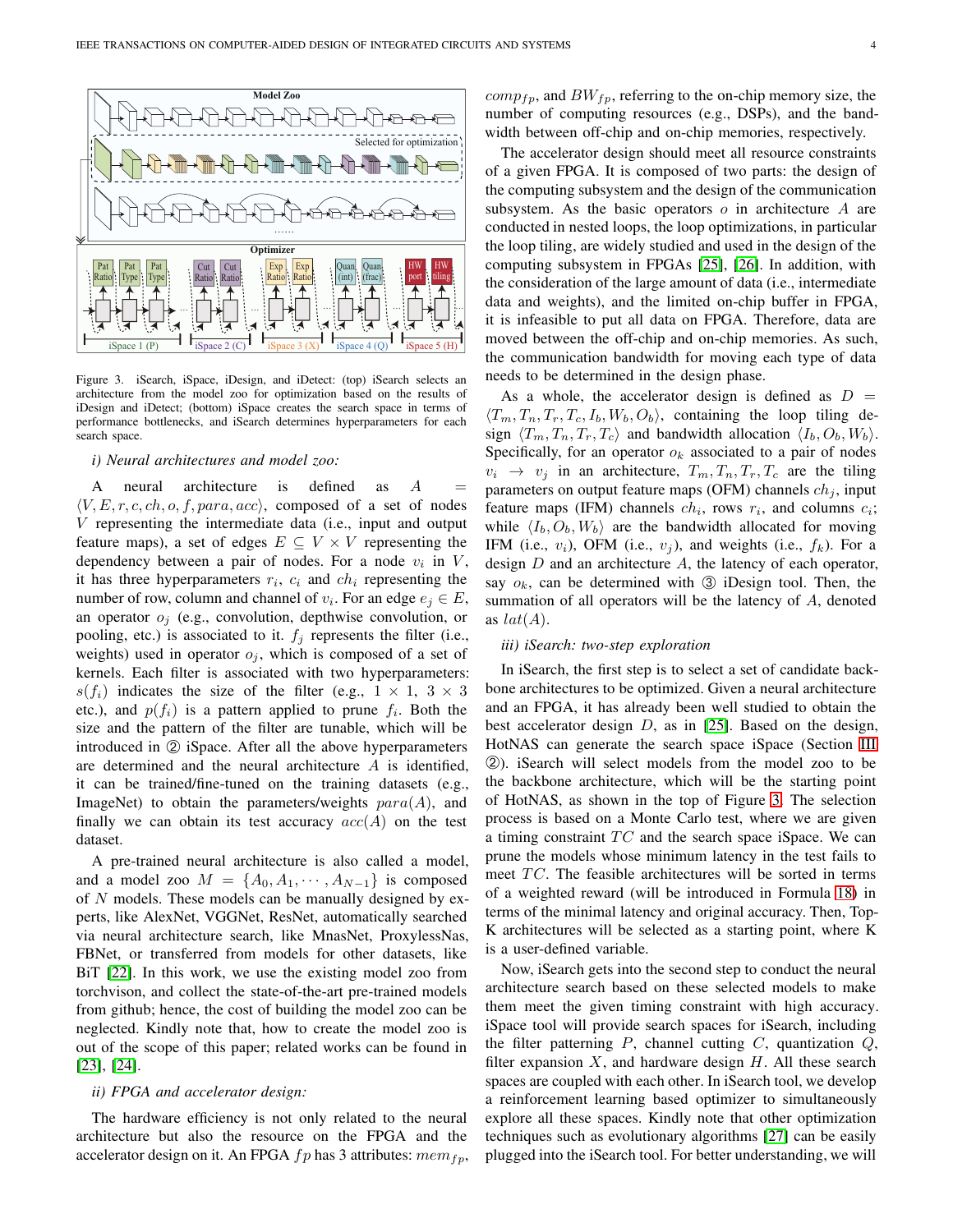

<span id="page-3-0"></span>Figure 3. iSearch, iSpace, iDesign, and iDetect: (top) iSearch selects an architecture from the model zoo for optimization based on the results of iDesign and iDetect; (bottom) iSpace creates the search space in terms of performance bottlenecks, and iSearch determines hyperparameters for each search space.

## *i) Neural architectures and model zoo:*

A neural architecture is defined as  $A =$  $\langle V, E, r, c, ch, o, f, para, acc \rangle$ , composed of a set of nodes V representing the intermediate data (i.e., input and output feature maps), a set of edges  $E \subseteq V \times V$  representing the dependency between a pair of nodes. For a node  $v_i$  in  $V$ , it has three hyperparameters  $r_i$ ,  $c_i$  and  $ch_i$  representing the number of row, column and channel of  $v_i$ . For an edge  $e_j \in E$ , an operator  $o_i$  (e.g., convolution, depthwise convolution, or pooling, etc.) is associated to it.  $f_i$  represents the filter (i.e., weights) used in operator  $o_i$ , which is composed of a set of kernels. Each filter is associated with two hyperparameters:  $s(f_i)$  indicates the size of the filter (e.g.,  $1 \times 1$ ,  $3 \times 3$ etc.), and  $p(f_i)$  is a pattern applied to prune  $f_i$ . Both the size and the pattern of the filter are tunable, which will be introduced in ② iSpace. After all the above hyperparameters are determined and the neural architecture  $A$  is identified, it can be trained/fine-tuned on the training datasets (e.g., ImageNet) to obtain the parameters/weights  $para(A)$ , and finally we can obtain its test accuracy  $acc(A)$  on the test dataset.

A pre-trained neural architecture is also called a model, and a model zoo  $M = \{A_0, A_1, \cdots, A_{N-1}\}\$ is composed of N models. These models can be manually designed by experts, like AlexNet, VGGNet, ResNet, automatically searched via neural architecture search, like MnasNet, ProxylessNas, FBNet, or transferred from models for other datasets, like BiT [\[22\]](#page-12-6). In this work, we use the existing model zoo from torchvison, and collect the state-of-the-art pre-trained models from github; hence, the cost of building the model zoo can be neglected. Kindly note that, how to create the model zoo is out of the scope of this paper; related works can be found in [\[23\]](#page-12-7), [\[24\]](#page-12-8).

# *ii) FPGA and accelerator design:*

The hardware efficiency is not only related to the neural architecture but also the resource on the FPGA and the accelerator design on it. An FPGA  $fp$  has 3 attributes:  $mem_{fp}$ ,  $comp_{fp}$ , and  $BW_{fp}$ , referring to the on-chip memory size, the number of computing resources (e.g., DSPs), and the bandwidth between off-chip and on-chip memories, respectively.

The accelerator design should meet all resource constraints of a given FPGA. It is composed of two parts: the design of the computing subsystem and the design of the communication subsystem. As the basic operators  $\sigma$  in architecture  $\Lambda$  are conducted in nested loops, the loop optimizations, in particular the loop tiling, are widely studied and used in the design of the computing subsystem in FPGAs [\[25\]](#page-12-9), [\[26\]](#page-12-10). In addition, with the consideration of the large amount of data (i.e., intermediate data and weights), and the limited on-chip buffer in FPGA, it is infeasible to put all data on FPGA. Therefore, data are moved between the off-chip and on-chip memories. As such, the communication bandwidth for moving each type of data needs to be determined in the design phase.

As a whole, the accelerator design is defined as  $D =$  $\langle T_m, T_n, T_r, T_c, I_b, W_b, O_b \rangle$ , containing the loop tiling design  $\langle T_m, T_n, T_r, T_c \rangle$  and bandwidth allocation  $\langle I_b, O_b, W_b \rangle$ . Specifically, for an operator  $o_k$  associated to a pair of nodes  $v_i \rightarrow v_j$  in an architecture,  $T_m, T_n, T_r, T_c$  are the tiling parameters on output feature maps (OFM) channels  $ch_i$ , input feature maps (IFM) channels  $ch_i$ , rows  $r_i$ , and columns  $c_i$ ; while  $\langle I_b, O_b, W_b \rangle$  are the bandwidth allocated for moving IFM (i.e.,  $v_i$ ), OFM (i.e.,  $v_j$ ), and weights (i.e.,  $f_k$ ). For a design  $D$  and an architecture  $A$ , the latency of each operator, say  $o_k$ , can be determined with  $\odot$  iDesign tool. Then, the summation of all operators will be the latency of A, denoted as  $lat(A)$ .

## *iii) iSearch: two-step exploration*

In iSearch, the first step is to select a set of candidate backbone architectures to be optimized. Given a neural architecture and an FPGA, it has already been well studied to obtain the best accelerator design  $D$ , as in [\[25\]](#page-12-9). Based on the design, HotNAS can generate the search space iSpace (Section [III](#page-2-2) ➁). iSearch will select models from the model zoo to be the backbone architecture, which will be the starting point of HotNAS, as shown in the top of Figure [3.](#page-3-0) The selection process is based on a Monte Carlo test, where we are given a timing constraint  $TC$  and the search space iSpace. We can prune the models whose minimum latency in the test fails to meet  $TC$ . The feasible architectures will be sorted in terms of a weighted reward (will be introduced in Formula [18\)](#page-7-0) in terms of the minimal latency and original accuracy. Then, Top-K architectures will be selected as a starting point, where K is a user-defined variable.

Now, iSearch gets into the second step to conduct the neural architecture search based on these selected models to make them meet the given timing constraint with high accuracy. iSpace tool will provide search spaces for iSearch, including the filter patterning  $P$ , channel cutting  $C$ , quantization  $Q$ , filter expansion  $X$ , and hardware design  $H$ . All these search spaces are coupled with each other. In iSearch tool, we develop a reinforcement learning based optimizer to simultaneously explore all these spaces. Kindly note that other optimization techniques such as evolutionary algorithms [\[27\]](#page-12-11) can be easily plugged into the iSearch tool. For better understanding, we will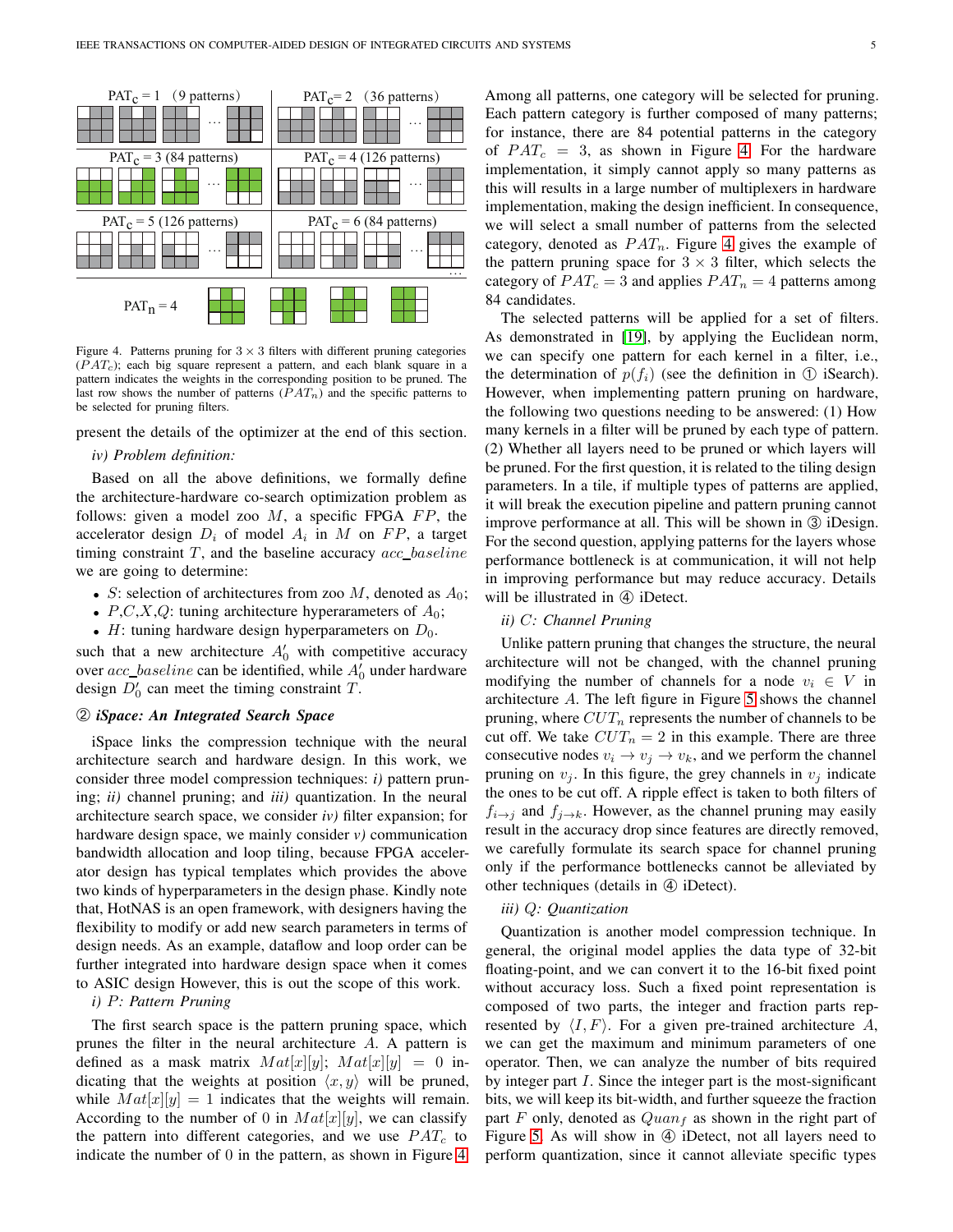

<span id="page-4-0"></span>Figure 4. Patterns pruning for  $3 \times 3$  filters with different pruning categories  $(PAT<sub>c</sub>)$ ; each big square represent a pattern, and each blank square in a pattern indicates the weights in the corresponding position to be pruned. The last row shows the number of patterns  $(PAT_n)$  and the specific patterns to be selected for pruning filters.

present the details of the optimizer at the end of this section.

# *iv) Problem definition:*

Based on all the above definitions, we formally define the architecture-hardware co-search optimization problem as follows: given a model zoo  $M$ , a specific FPGA  $FP$ , the accelerator design  $D_i$  of model  $A_i$  in M on FP, a target timing constraint  $T$ , and the baseline accuracy  $acc\_baseline$ we are going to determine:

- S: selection of architectures from zoo M, denoted as  $A_0$ ;
- $P, C, X, Q$ : tuning architecture hyperarameters of  $A_0$ ;
- $H$ : tuning hardware design hyperparameters on  $D_0$ .

such that a new architecture  $A'_0$  with competitive accuracy over  $acc\_baseline$  can be identified, while  $A'_0$  under hardware design  $\overline{D'_0}$  can meet the timing constraint T.

# ➁ *iSpace: An Integrated Search Space*

iSpace links the compression technique with the neural architecture search and hardware design. In this work, we consider three model compression techniques: *i)* pattern pruning; *ii)* channel pruning; and *iii)* quantization. In the neural architecture search space, we consider *iv)* filter expansion; for hardware design space, we mainly consider *v)* communication bandwidth allocation and loop tiling, because FPGA accelerator design has typical templates which provides the above two kinds of hyperparameters in the design phase. Kindly note that, HotNAS is an open framework, with designers having the flexibility to modify or add new search parameters in terms of design needs. As an example, dataflow and loop order can be further integrated into hardware design space when it comes to ASIC design However, this is out the scope of this work.

# *i)* P*: Pattern Pruning*

The first search space is the pattern pruning space, which prunes the filter in the neural architecture A. A pattern is defined as a mask matrix  $Mat[x][y]$ ;  $Mat[x][y] = 0$  indicating that the weights at position  $\langle x, y \rangle$  will be pruned, while  $Mat[x][y] = 1$  indicates that the weights will remain. According to the number of 0 in  $Mat[x][y]$ , we can classify the pattern into different categories, and we use  $PAT_c$  to indicate the number of 0 in the pattern, as shown in Figure [4.](#page-4-0) Among all patterns, one category will be selected for pruning. Each pattern category is further composed of many patterns; for instance, there are 84 potential patterns in the category of  $PAT_c = 3$ , as shown in Figure [4.](#page-4-0) For the hardware implementation, it simply cannot apply so many patterns as this will results in a large number of multiplexers in hardware implementation, making the design inefficient. In consequence, we will select a small number of patterns from the selected category, denoted as  $PAT_n$ . Figure [4](#page-4-0) gives the example of the pattern pruning space for  $3 \times 3$  filter, which selects the category of  $PAT_c = 3$  and applies  $PAT_n = 4$  patterns among 84 candidates.

The selected patterns will be applied for a set of filters. As demonstrated in [\[19\]](#page-12-12), by applying the Euclidean norm, we can specify one pattern for each kernel in a filter, i.e., the determination of  $p(f_i)$  (see the definition in ① iSearch). However, when implementing pattern pruning on hardware, the following two questions needing to be answered: (1) How many kernels in a filter will be pruned by each type of pattern. (2) Whether all layers need to be pruned or which layers will be pruned. For the first question, it is related to the tiling design parameters. In a tile, if multiple types of patterns are applied, it will break the execution pipeline and pattern pruning cannot improve performance at all. This will be shown in  $\circled{3}$  iDesign. For the second question, applying patterns for the layers whose performance bottleneck is at communication, it will not help in improving performance but may reduce accuracy. Details will be illustrated in  $\Phi$  iDetect.

# *ii)* C*: Channel Pruning*

Unlike pattern pruning that changes the structure, the neural architecture will not be changed, with the channel pruning modifying the number of channels for a node  $v_i \in V$  in architecture A. The left figure in Figure [5](#page-5-0) shows the channel pruning, where  $CUT_n$  represents the number of channels to be cut off. We take  $CUT_n = 2$  in this example. There are three consecutive nodes  $v_i \rightarrow v_j \rightarrow v_k$ , and we perform the channel pruning on  $v_i$ . In this figure, the grey channels in  $v_i$  indicate the ones to be cut off. A ripple effect is taken to both filters of  $f_{i\rightarrow j}$  and  $f_{j\rightarrow k}$ . However, as the channel pruning may easily result in the accuracy drop since features are directly removed, we carefully formulate its search space for channel pruning only if the performance bottlenecks cannot be alleviated by other techniques (details in  $\Phi$  iDetect).

## *iii)* Q*: Quantization*

Quantization is another model compression technique. In general, the original model applies the data type of 32-bit floating-point, and we can convert it to the 16-bit fixed point without accuracy loss. Such a fixed point representation is composed of two parts, the integer and fraction parts represented by  $\langle I, F \rangle$ . For a given pre-trained architecture A, we can get the maximum and minimum parameters of one operator. Then, we can analyze the number of bits required by integer part  $I$ . Since the integer part is the most-significant bits, we will keep its bit-width, and further squeeze the fraction part F only, denoted as  $Quan<sub>f</sub>$  as shown in the right part of Figure [5.](#page-5-0) As will show in  $\Phi$  iDetect, not all layers need to perform quantization, since it cannot alleviate specific types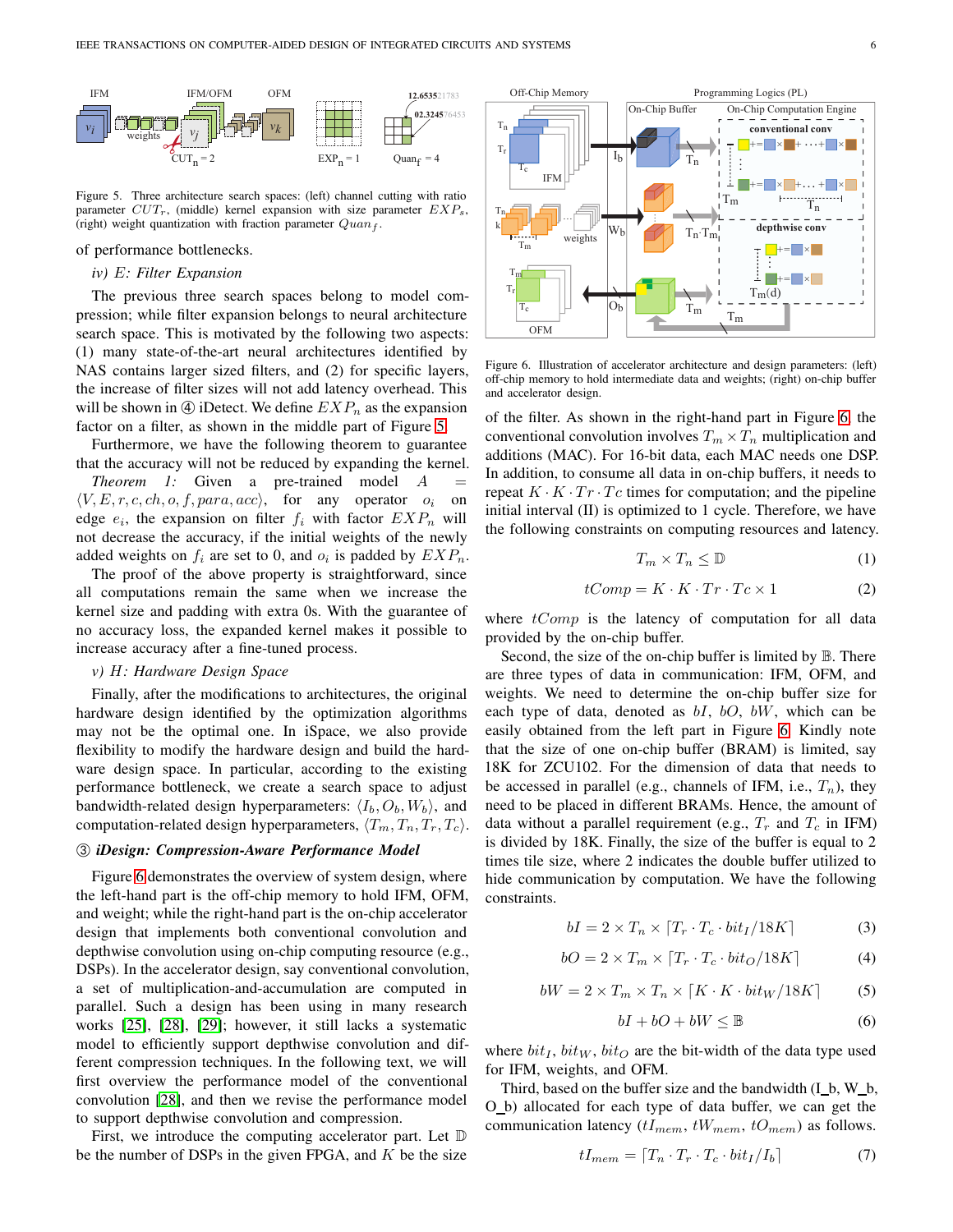

<span id="page-5-0"></span>Figure 5. Three architecture search spaces: (left) channel cutting with ratio parameter  $CUT_r$ , (middle) kernel expansion with size parameter  $EXP_s$ , (right) weight quantization with fraction parameter  $Quan<sub>f</sub>$ .

## of performance bottlenecks.

## *iv)* E*: Filter Expansion*

The previous three search spaces belong to model compression; while filter expansion belongs to neural architecture search space. This is motivated by the following two aspects: (1) many state-of-the-art neural architectures identified by NAS contains larger sized filters, and (2) for specific layers, the increase of filter sizes will not add latency overhead. This will be shown in  $\Phi$  iDetect. We define  $EXP_n$  as the expansion factor on a filter, as shown in the middle part of Figure [5.](#page-5-0)

Furthermore, we have the following theorem to guarantee that the accuracy will not be reduced by expanding the kernel.

*Theorem 1:* Given a pre-trained model  $\overline{A}$  $\langle V, E, r, c, ch, o, f, para, acc \rangle$ , for any operator  $o_i$  on edge  $e_i$ , the expansion on filter  $f_i$  with factor  $EXP_n$  will not decrease the accuracy, if the initial weights of the newly added weights on  $f_i$  are set to 0, and  $o_i$  is padded by  $EXP_n$ .

The proof of the above property is straightforward, since all computations remain the same when we increase the kernel size and padding with extra 0s. With the guarantee of no accuracy loss, the expanded kernel makes it possible to increase accuracy after a fine-tuned process.

## *v)* H*: Hardware Design Space*

Finally, after the modifications to architectures, the original hardware design identified by the optimization algorithms may not be the optimal one. In iSpace, we also provide flexibility to modify the hardware design and build the hardware design space. In particular, according to the existing performance bottleneck, we create a search space to adjust bandwidth-related design hyperparameters:  $\langle I_b, O_b, W_b \rangle$ , and computation-related design hyperparameters,  $\langle T_m, T_n, T_r, T_c \rangle$ .

# ➂ *iDesign: Compression-Aware Performance Model*

Figure [6](#page-5-1) demonstrates the overview of system design, where the left-hand part is the off-chip memory to hold IFM, OFM, and weight; while the right-hand part is the on-chip accelerator design that implements both conventional convolution and depthwise convolution using on-chip computing resource (e.g., DSPs). In the accelerator design, say conventional convolution, a set of multiplication-and-accumulation are computed in parallel. Such a design has been using in many research works [\[25\]](#page-12-9), [\[28\]](#page-12-13), [\[29\]](#page-12-14); however, it still lacks a systematic model to efficiently support depthwise convolution and different compression techniques. In the following text, we will first overview the performance model of the conventional convolution [\[28\]](#page-12-13), and then we revise the performance model to support depthwise convolution and compression.

First, we introduce the computing accelerator part. Let  $D$ be the number of DSPs in the given FPGA, and  $K$  be the size



<span id="page-5-1"></span>Figure 6. Illustration of accelerator architecture and design parameters: (left) off-chip memory to hold intermediate data and weights; (right) on-chip buffer and accelerator design.

of the filter. As shown in the right-hand part in Figure [6,](#page-5-1) the conventional convolution involves  $T_m \times T_n$  multiplication and additions (MAC). For 16-bit data, each MAC needs one DSP. In addition, to consume all data in on-chip buffers, it needs to repeat  $K \cdot K \cdot Tr \cdot T_c$  times for computation; and the pipeline initial interval (II) is optimized to 1 cycle. Therefore, we have the following constraints on computing resources and latency.

<span id="page-5-5"></span>
$$
T_m \times T_n \leq \mathbb{D} \tag{1}
$$

<span id="page-5-6"></span>
$$
tComp = K \cdot K \cdot Tr \cdot Tc \times 1 \tag{2}
$$

where  $tComp$  is the latency of computation for all data provided by the on-chip buffer.

Second, the size of the on-chip buffer is limited by  $\mathbb B$ . There are three types of data in communication: IFM, OFM, and weights. We need to determine the on-chip buffer size for each type of data, denoted as  $bI$ ,  $bO$ ,  $bW$ , which can be easily obtained from the left part in Figure [6.](#page-5-1) Kindly note that the size of one on-chip buffer (BRAM) is limited, say 18K for ZCU102. For the dimension of data that needs to be accessed in parallel (e.g., channels of IFM, i.e.,  $T_n$ ), they need to be placed in different BRAMs. Hence, the amount of data without a parallel requirement (e.g.,  $T_r$  and  $T_c$  in IFM) is divided by 18K. Finally, the size of the buffer is equal to 2 times tile size, where 2 indicates the double buffer utilized to hide communication by computation. We have the following constraints.

<span id="page-5-2"></span>
$$
bI = 2 \times T_n \times [T_r \cdot T_c \cdot bit_I/18K]
$$
 (3)

$$
bO = 2 \times T_m \times [T_r \cdot T_c \cdot bit_O / 18K]
$$
 (4)

<span id="page-5-7"></span>
$$
bW = 2 \times T_m \times T_n \times [K \cdot K \cdot bit_W/18K] \tag{5}
$$

<span id="page-5-3"></span>
$$
bI + bO + bW \leq \mathbb{B} \tag{6}
$$

where  $bit_I$ ,  $bit_W$ ,  $bit_O$  are the bit-width of the data type used for IFM, weights, and OFM.

Third, based on the buffer size and the bandwidth (I b, W b, O b) allocated for each type of data buffer, we can get the communication latency  $(tI_{mem}, tW_{mem}, tO_{mem})$  as follows.

<span id="page-5-4"></span>
$$
tI_{mem} = [T_n \cdot T_r \cdot T_c \cdot bit_I/I_b]
$$
 (7)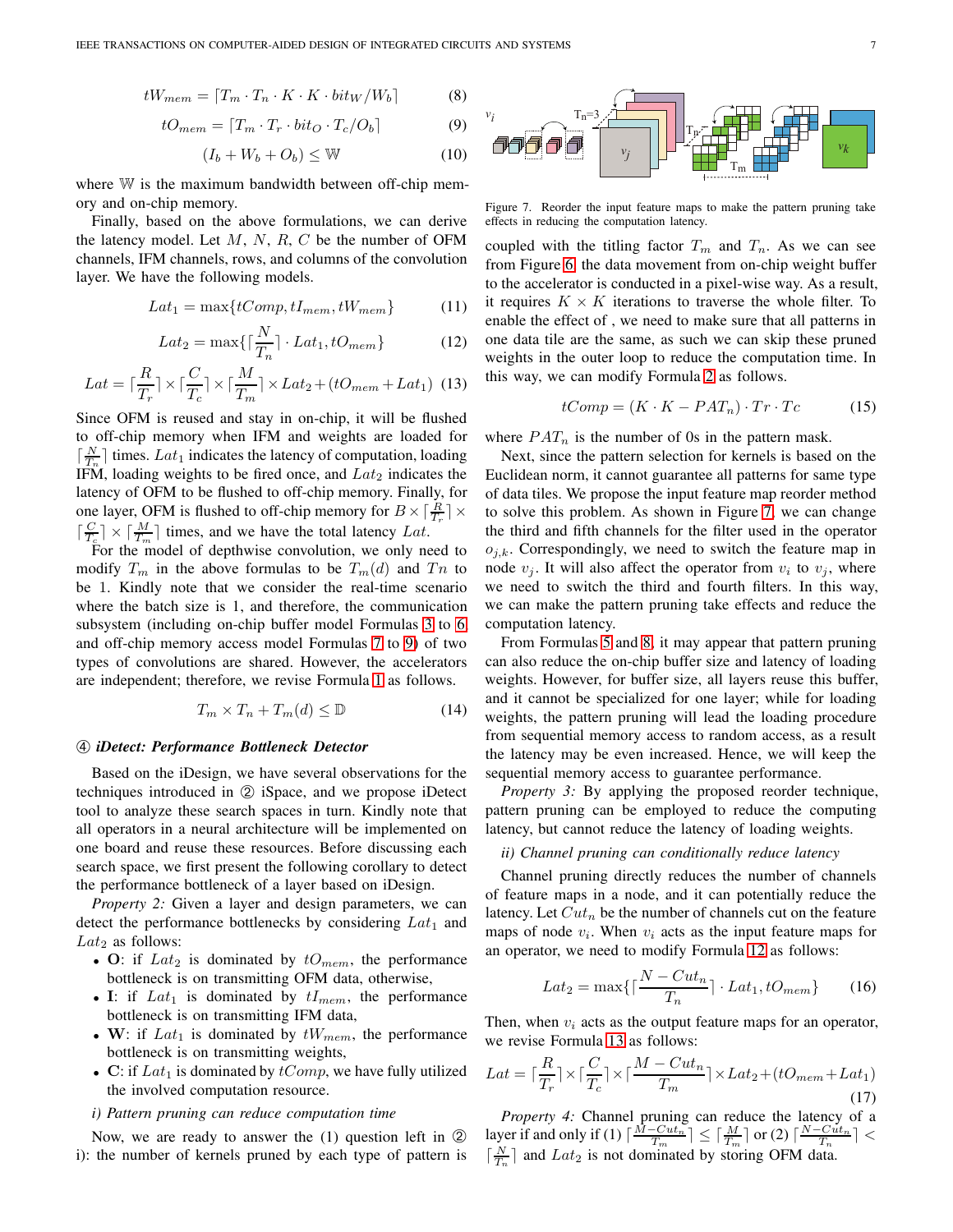<span id="page-6-2"></span>
$$
tW_{mem} = [T_m \cdot T_n \cdot K \cdot K \cdot bit_W / W_b]
$$
 (8)

<span id="page-6-0"></span>
$$
tO_{mem} = [T_m \cdot T_r \cdot bit_O \cdot T_c/O_b]
$$
 (9)

$$
(I_b + W_b + O_b) \leq W \tag{10}
$$

where W is the maximum bandwidth between off-chip memory and on-chip memory.

Finally, based on the above formulations, we can derive the latency model. Let  $M$ ,  $N$ ,  $R$ ,  $C$  be the number of OFM channels, IFM channels, rows, and columns of the convolution layer. We have the following models.

$$
Lat_1 = \max\{tComp, tI_{mem}, tW_{mem}\} \tag{11}
$$

<span id="page-6-3"></span>
$$
Lat_2 = \max\{\lceil \frac{N}{T_n} \rceil \cdot Lat_1, tO_{mem}\}\tag{12}
$$

<span id="page-6-4"></span>
$$
Lat = \lceil \frac{R}{T_r} \rceil \times \lceil \frac{C}{T_c} \rceil \times \lceil \frac{M}{T_m} \rceil \times Lat_2 + (tO_{mem} + Lat_1) \tag{13}
$$

Since OFM is reused and stay in on-chip, it will be flushed to off-chip memory when IFM and weights are loaded for  $\left[\frac{N}{T_n}\right]$  times. Lat<sub>1</sub> indicates the latency of computation, loading IFM, loading weights to be fired once, and  $Lat_2$  indicates the latency of OFM to be flushed to off-chip memory. Finally, for one layer, OFM is flushed to off-chip memory for  $B \times \left[\frac{R}{T_r}\right] \times$  $\lceil \frac{C}{T_c} \rceil \times \lceil \frac{M}{T_m} \rceil$  times, and we have the total latency Lat.

For the model of depthwise convolution, we only need to modify  $T_m$  in the above formulas to be  $T_m(d)$  and  $T_n$  to be 1. Kindly note that we consider the real-time scenario where the batch size is 1, and therefore, the communication subsystem (including on-chip buffer model Formulas [3](#page-5-2) to [6,](#page-5-3) and off-chip memory access model Formulas [7](#page-5-4) to [9\)](#page-6-0) of two types of convolutions are shared. However, the accelerators are independent; therefore, we revise Formula [1](#page-5-5) as follows.

$$
T_m \times T_n + T_m(d) \leq \mathbb{D} \tag{14}
$$

# ➃ *iDetect: Performance Bottleneck Detector*

Based on the iDesign, we have several observations for the techniques introduced in ➁ iSpace, and we propose iDetect tool to analyze these search spaces in turn. Kindly note that all operators in a neural architecture will be implemented on one board and reuse these resources. Before discussing each search space, we first present the following corollary to detect the performance bottleneck of a layer based on iDesign.

*Property 2:* Given a layer and design parameters, we can detect the performance bottlenecks by considering  $Lat_1$  and  $Lat_2$  as follows:

- O: if  $Lat_2$  is dominated by  $tO_{mem}$ , the performance bottleneck is on transmitting OFM data, otherwise,
- I: if  $Lat_1$  is dominated by  $tI_{mem}$ , the performance bottleneck is on transmitting IFM data,
- W: if  $Lat_1$  is dominated by  $tW_{mem}$ , the performance bottleneck is on transmitting weights,
- C: if  $Lat_1$  is dominated by  $tComp$ , we have fully utilized the involved computation resource.

## *i) Pattern pruning can reduce computation time*

Now, we are ready to answer the  $(1)$  question left in  $(2)$ i): the number of kernels pruned by each type of pattern is



<span id="page-6-1"></span>Figure 7. Reorder the input feature maps to make the pattern pruning take effects in reducing the computation latency.

coupled with the titling factor  $T_m$  and  $T_n$ . As we can see from Figure [6,](#page-5-1) the data movement from on-chip weight buffer to the accelerator is conducted in a pixel-wise way. As a result, it requires  $K \times K$  iterations to traverse the whole filter. To enable the effect of , we need to make sure that all patterns in one data tile are the same, as such we can skip these pruned weights in the outer loop to reduce the computation time. In this way, we can modify Formula [2](#page-5-6) as follows.

$$
tComp = (K \cdot K - PAT_n) \cdot Tr \cdot Tc \tag{15}
$$

where  $PAT_n$  is the number of 0s in the pattern mask.

Next, since the pattern selection for kernels is based on the Euclidean norm, it cannot guarantee all patterns for same type of data tiles. We propose the input feature map reorder method to solve this problem. As shown in Figure [7,](#page-6-1) we can change the third and fifth channels for the filter used in the operator  $o_{i,k}$ . Correspondingly, we need to switch the feature map in node  $v_j$ . It will also affect the operator from  $v_i$  to  $v_j$ , where we need to switch the third and fourth filters. In this way, we can make the pattern pruning take effects and reduce the computation latency.

From Formulas [5](#page-5-7) and [8,](#page-6-2) it may appear that pattern pruning can also reduce the on-chip buffer size and latency of loading weights. However, for buffer size, all layers reuse this buffer, and it cannot be specialized for one layer; while for loading weights, the pattern pruning will lead the loading procedure from sequential memory access to random access, as a result the latency may be even increased. Hence, we will keep the sequential memory access to guarantee performance.

*Property 3:* By applying the proposed reorder technique, pattern pruning can be employed to reduce the computing latency, but cannot reduce the latency of loading weights.

## *ii) Channel pruning can conditionally reduce latency*

Channel pruning directly reduces the number of channels of feature maps in a node, and it can potentially reduce the latency. Let  $Cut_n$  be the number of channels cut on the feature maps of node  $v_i$ . When  $v_i$  acts as the input feature maps for an operator, we need to modify Formula [12](#page-6-3) as follows:

$$
Lat_2 = \max\{\lceil \frac{N - Cut_n}{T_n} \rceil \cdot Lat_1, tO_{mem}\}\qquad(16)
$$

Then, when  $v_i$  acts as the output feature maps for an operator, we revise Formula [13](#page-6-4) as follows:

$$
Lat = \lceil \frac{R}{T_r} \rceil \times \lceil \frac{C}{T_c} \rceil \times \lceil \frac{M - Cut_n}{T_m} \rceil \times Lat_2 + (tO_{mem} + Lat_1)
$$
\n(17)

*Property 4:* Channel pruning can reduce the latency of a layer if and only if (1)  $\lceil \frac{\dot{M} - Cut_n}{T_m} \rceil \leq \lceil \frac{M}{T_m} \rceil$  or (2)  $\lceil \frac{N - Cut_n}{T_n} \rceil <$  $\lceil \frac{N}{T_n} \rceil$  and  $Lat_2$  is not dominated by storing OFM data.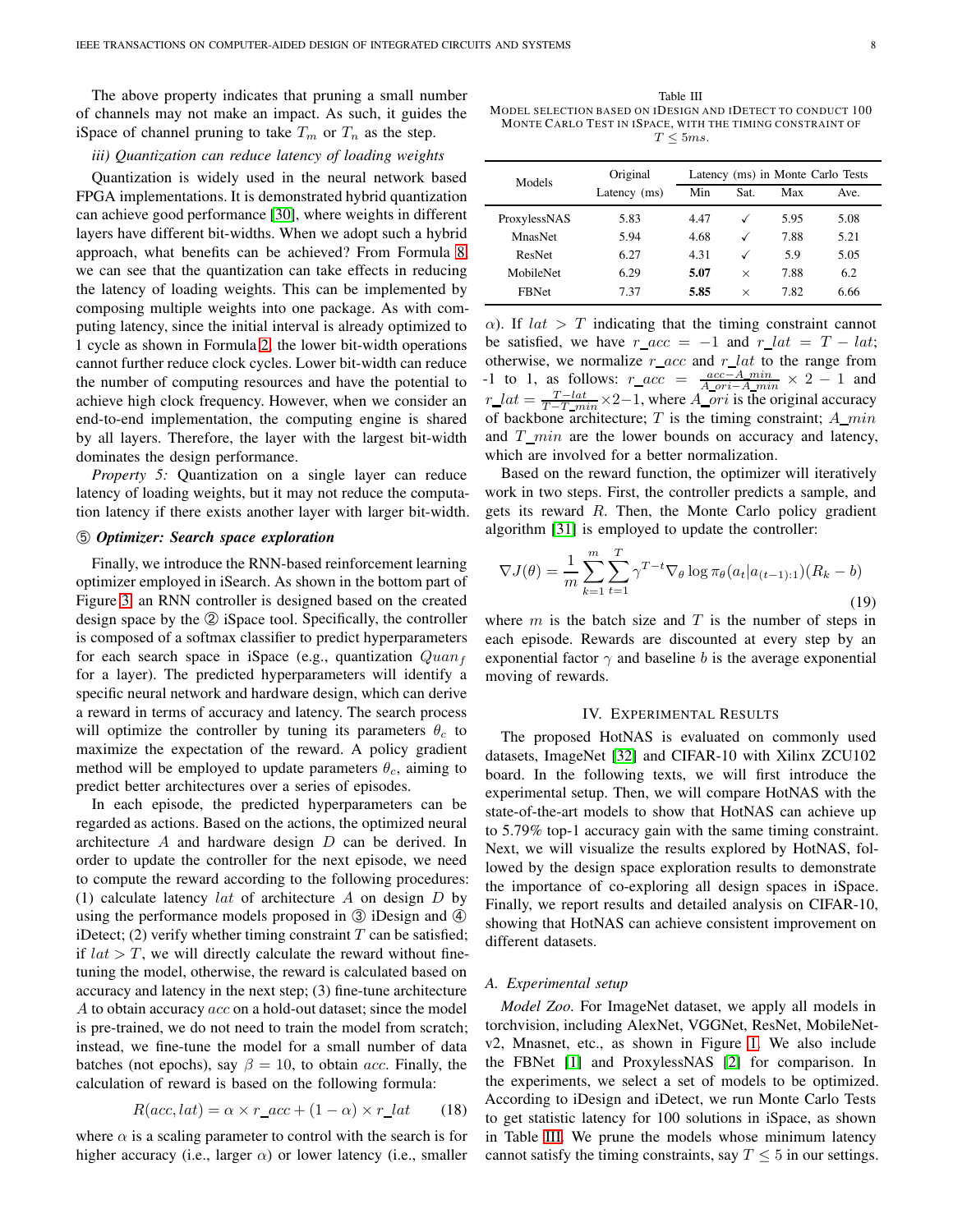The above property indicates that pruning a small number of channels may not make an impact. As such, it guides the iSpace of channel pruning to take  $T_m$  or  $T_n$  as the step.

# *iii) Quantization can reduce latency of loading weights*

Quantization is widely used in the neural network based FPGA implementations. It is demonstrated hybrid quantization can achieve good performance [\[30\]](#page-12-15), where weights in different layers have different bit-widths. When we adopt such a hybrid approach, what benefits can be achieved? From Formula [8,](#page-6-2) we can see that the quantization can take effects in reducing the latency of loading weights. This can be implemented by composing multiple weights into one package. As with computing latency, since the initial interval is already optimized to 1 cycle as shown in Formula [2,](#page-5-6) the lower bit-width operations cannot further reduce clock cycles. Lower bit-width can reduce the number of computing resources and have the potential to achieve high clock frequency. However, when we consider an end-to-end implementation, the computing engine is shared by all layers. Therefore, the layer with the largest bit-width dominates the design performance.

*Property 5:* Quantization on a single layer can reduce latency of loading weights, but it may not reduce the computation latency if there exists another layer with larger bit-width.

# ➄ *Optimizer: Search space exploration*

Finally, we introduce the RNN-based reinforcement learning optimizer employed in iSearch. As shown in the bottom part of Figure [3,](#page-3-0) an RNN controller is designed based on the created design space by the ② iSpace tool. Specifically, the controller is composed of a softmax classifier to predict hyperparameters for each search space in iSpace (e.g., quantization  $Quan<sub>f</sub>$ for a layer). The predicted hyperparameters will identify a specific neural network and hardware design, which can derive a reward in terms of accuracy and latency. The search process will optimize the controller by tuning its parameters  $\theta_c$  to maximize the expectation of the reward. A policy gradient method will be employed to update parameters  $\theta_c$ , aiming to predict better architectures over a series of episodes.

In each episode, the predicted hyperparameters can be regarded as actions. Based on the actions, the optimized neural architecture  $A$  and hardware design  $D$  can be derived. In order to update the controller for the next episode, we need to compute the reward according to the following procedures: (1) calculate latency *lat* of architecture A on design  $D$  by using the performance models proposed in  $\circled{3}$  iDesign and  $\circled{4}$ iDetect; (2) verify whether timing constraint  $T$  can be satisfied; if  $lat > T$ , we will directly calculate the reward without finetuning the model, otherwise, the reward is calculated based on accuracy and latency in the next step; (3) fine-tune architecture A to obtain accuracy acc on a hold-out dataset; since the model is pre-trained, we do not need to train the model from scratch; instead, we fine-tune the model for a small number of data batches (not epochs), say  $\beta = 10$ , to obtain acc. Finally, the calculation of reward is based on the following formula:

<span id="page-7-0"></span>
$$
R(acc, lat) = \alpha \times r\_acc + (1 - \alpha) \times r\_lat
$$
 (18)

where  $\alpha$  is a scaling parameter to control with the search is for higher accuracy (i.e., larger  $\alpha$ ) or lower latency (i.e., smaller

<span id="page-7-1"></span>Table III MODEL SELECTION BASED ON IDESIGN AND IDETECT TO CONDUCT 100 MONTE CARLO TEST IN ISPACE, WITH THE TIMING CONSTRAINT OF  $T \leq 5ms$ .

| Models       | Original     | Latency (ms) in Monte Carlo Tests |              |      |      |  |  |
|--------------|--------------|-----------------------------------|--------------|------|------|--|--|
|              | Latency (ms) | Min                               | Sat.         | Max  | Ave. |  |  |
| ProxylessNAS | 5.83         | 4.47                              |              | 5.95 | 5.08 |  |  |
| MnasNet      | 5.94         | 4.68                              | $\checkmark$ | 7.88 | 5.21 |  |  |
| ResNet       | 6.27         | 4.31                              | ✓            | 5.9  | 5.05 |  |  |
| MobileNet    | 6.29         | 5.07                              | $\times$     | 7.88 | 6.2  |  |  |
| <b>FBNet</b> | 7.37         | 5.85                              | $\times$     | 7.82 | 6.66 |  |  |

 $\alpha$ ). If  $lat > T$  indicating that the timing constraint cannot be satisfied, we have  $r\_acc = -1$  and  $r\_lat = T - lat;$ otherwise, we normalize  $r\_{acc}$  and  $r\_{lat}$  to the range from -1 to 1, as follows:  $r\_acc = \frac{acc-A_{min}}{A_{0}^{0}C_{0}-A_{min}} \times 2 - 1$  and  $r\_lat = \frac{T - lat}{T - T - min} \times 2 - 1$ , where  $A\_ori$  is the original accuracy of backbone architecture;  $T$  is the timing constraint;  $A_{min}$ and  $T_{\_}$  min are the lower bounds on accuracy and latency, which are involved for a better normalization.

Based on the reward function, the optimizer will iteratively work in two steps. First, the controller predicts a sample, and gets its reward R. Then, the Monte Carlo policy gradient algorithm [\[31\]](#page-12-16) is employed to update the controller:

$$
\nabla J(\theta) = \frac{1}{m} \sum_{k=1}^{m} \sum_{t=1}^{T} \gamma^{T-t} \nabla_{\theta} \log \pi_{\theta}(a_t | a_{(t-1):1}) (R_k - b)
$$
\n(19)

where  $m$  is the batch size and  $T$  is the number of steps in each episode. Rewards are discounted at every step by an exponential factor  $\gamma$  and baseline b is the average exponential moving of rewards.

#### IV. EXPERIMENTAL RESULTS

The proposed HotNAS is evaluated on commonly used datasets, ImageNet [\[32\]](#page-12-17) and CIFAR-10 with Xilinx ZCU102 board. In the following texts, we will first introduce the experimental setup. Then, we will compare HotNAS with the state-of-the-art models to show that HotNAS can achieve up to 5.79% top-1 accuracy gain with the same timing constraint. Next, we will visualize the results explored by HotNAS, followed by the design space exploration results to demonstrate the importance of co-exploring all design spaces in iSpace. Finally, we report results and detailed analysis on CIFAR-10, showing that HotNAS can achieve consistent improvement on different datasets.

## *A. Experimental setup*

*Model Zoo.* For ImageNet dataset, we apply all models in torchvision, including AlexNet, VGGNet, ResNet, MobileNetv2, Mnasnet, etc., as shown in Figure [1.](#page-0-0) We also include the FBNet [\[1\]](#page-11-0) and ProxylessNAS [\[2\]](#page-11-5) for comparison. In the experiments, we select a set of models to be optimized. According to iDesign and iDetect, we run Monte Carlo Tests to get statistic latency for 100 solutions in iSpace, as shown in Table [III.](#page-7-1) We prune the models whose minimum latency cannot satisfy the timing constraints, say  $T \leq 5$  in our settings.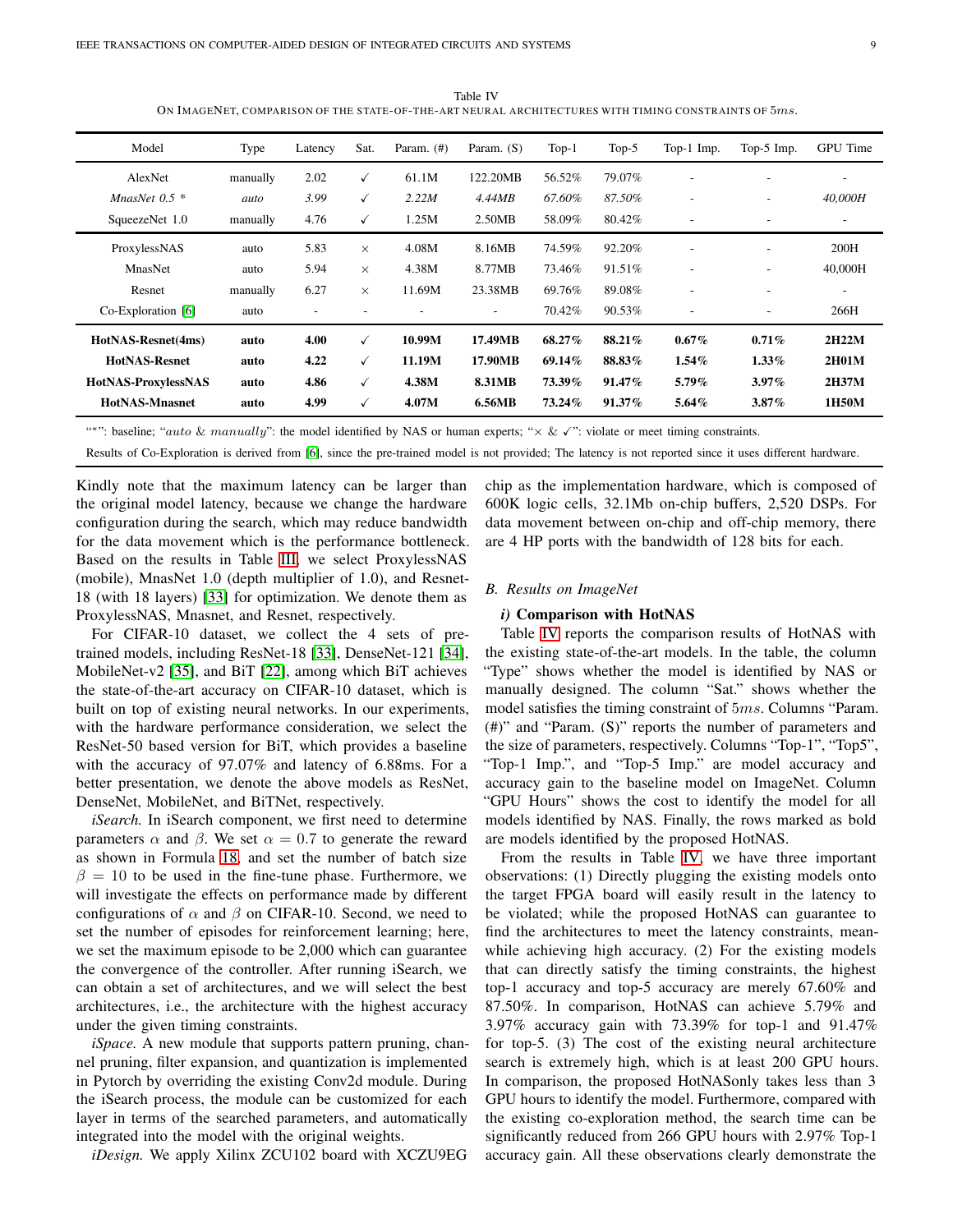<span id="page-8-0"></span>Model Type Latency Sat. Param. (#) Param. (S) Top-1 Top-5 Top-1 Imp. Top-5 Imp. GPU Time AlexNet manually  $2.02 \quad \checkmark$  61.1M 122.20MB 56.52% 79.07% - - - - -*MnasNet 0.5 \* auto 3.99* X *2.22M 4.44MB 67.60% 87.50% - - 40,000H* SqueezeNet 1.0 manually  $4.76 \t\t \t\t 1.25M$  2.50MB 58.09% 80.42% - - - - - -ProxylessNAS auto 5.83  $\times$  4.08M 8.16MB 74.59% 92.20% - - - - 200H MnasNet auto 5.94  $\times$  4.38M 8.77MB 73.46% 91.51% - - - - 40,000H Resnet manually  $6.27 \times 11.69M$   $23.38MB$   $69.76\%$   $89.08\%$  - - - -Co-Exploration [\[6\]](#page-11-2) auto - - - - 70.42% 90.53% - - 266H

HotNAS-Resnet(4ms) auto 4.00 X 10.99M 17.49MB 68.27% 88.21% 0.67% 0.71% 2H22M  $HotNAS-Resnet$  auto 4.22  $\checkmark$  11.19M 17.90MB 69.14% 88.83% 1.54% 1.33% 2H01M HotNAS-ProxylessNAS auto 4.86 X 4.38M 8.31MB 73.39% 91.47% 5.79% 3.97% 2H37M HotNAS-Mnasnet auto 4.99 X 4.07M 6.56MB 73.24% 91.37% 5.64% 3.87% 1H50M

Table IV ON IMAGENET, COMPARISON OF THE STATE-OF-THE-ART NEURAL ARCHITECTURES WITH TIMING CONSTRAINTS OF 5ms.

<sup>\*\*\*</sup>": baseline; "auto & manually": the model identified by NAS or human experts; " $\times$  &  $\checkmark$ ": violate or meet timing constraints.

Results of Co-Exploration is derived from [\[6\]](#page-11-2), since the pre-trained model is not provided; The latency is not reported since it uses different hardware.

Kindly note that the maximum latency can be larger than the original model latency, because we change the hardware configuration during the search, which may reduce bandwidth for the data movement which is the performance bottleneck. Based on the results in Table [III,](#page-7-1) we select ProxylessNAS (mobile), MnasNet 1.0 (depth multiplier of 1.0), and Resnet-18 (with 18 layers) [\[33\]](#page-12-18) for optimization. We denote them as ProxylessNAS, Mnasnet, and Resnet, respectively.

For CIFAR-10 dataset, we collect the 4 sets of pretrained models, including ResNet-18 [\[33\]](#page-12-18), DenseNet-121 [\[34\]](#page-12-19), MobileNet-v2 [\[35\]](#page-12-20), and BiT [\[22\]](#page-12-6), among which BiT achieves the state-of-the-art accuracy on CIFAR-10 dataset, which is built on top of existing neural networks. In our experiments, with the hardware performance consideration, we select the ResNet-50 based version for BiT, which provides a baseline with the accuracy of 97.07% and latency of 6.88ms. For a better presentation, we denote the above models as ResNet, DenseNet, MobileNet, and BiTNet, respectively.

*iSearch.* In iSearch component, we first need to determine parameters  $\alpha$  and  $\beta$ . We set  $\alpha = 0.7$  to generate the reward as shown in Formula [18,](#page-7-0) and set the number of batch size  $\beta = 10$  to be used in the fine-tune phase. Furthermore, we will investigate the effects on performance made by different configurations of  $\alpha$  and  $\beta$  on CIFAR-10. Second, we need to set the number of episodes for reinforcement learning; here, we set the maximum episode to be 2,000 which can guarantee the convergence of the controller. After running iSearch, we can obtain a set of architectures, and we will select the best architectures, i.e., the architecture with the highest accuracy under the given timing constraints.

*iSpace.* A new module that supports pattern pruning, channel pruning, filter expansion, and quantization is implemented in Pytorch by overriding the existing Conv2d module. During the iSearch process, the module can be customized for each layer in terms of the searched parameters, and automatically integrated into the model with the original weights.

*iDesign.* We apply Xilinx ZCU102 board with XCZU9EG

chip as the implementation hardware, which is composed of 600K logic cells, 32.1Mb on-chip buffers, 2,520 DSPs. For data movement between on-chip and off-chip memory, there are 4 HP ports with the bandwidth of 128 bits for each.

## *B. Results on ImageNet*

## *i)* Comparison with HotNAS

Table [IV](#page-8-0) reports the comparison results of HotNAS with the existing state-of-the-art models. In the table, the column "Type" shows whether the model is identified by NAS or manually designed. The column "Sat." shows whether the model satisfies the timing constraint of 5ms. Columns "Param. (#)" and "Param. (S)" reports the number of parameters and the size of parameters, respectively. Columns "Top-1", "Top5", "Top-1 Imp.", and "Top-5 Imp." are model accuracy and accuracy gain to the baseline model on ImageNet. Column "GPU Hours" shows the cost to identify the model for all models identified by NAS. Finally, the rows marked as bold are models identified by the proposed HotNAS.

From the results in Table [IV,](#page-8-0) we have three important observations: (1) Directly plugging the existing models onto the target FPGA board will easily result in the latency to be violated; while the proposed HotNAS can guarantee to find the architectures to meet the latency constraints, meanwhile achieving high accuracy. (2) For the existing models that can directly satisfy the timing constraints, the highest top-1 accuracy and top-5 accuracy are merely 67.60% and 87.50%. In comparison, HotNAS can achieve 5.79% and 3.97% accuracy gain with 73.39% for top-1 and 91.47% for top-5. (3) The cost of the existing neural architecture search is extremely high, which is at least 200 GPU hours. In comparison, the proposed HotNASonly takes less than 3 GPU hours to identify the model. Furthermore, compared with the existing co-exploration method, the search time can be significantly reduced from 266 GPU hours with 2.97% Top-1 accuracy gain. All these observations clearly demonstrate the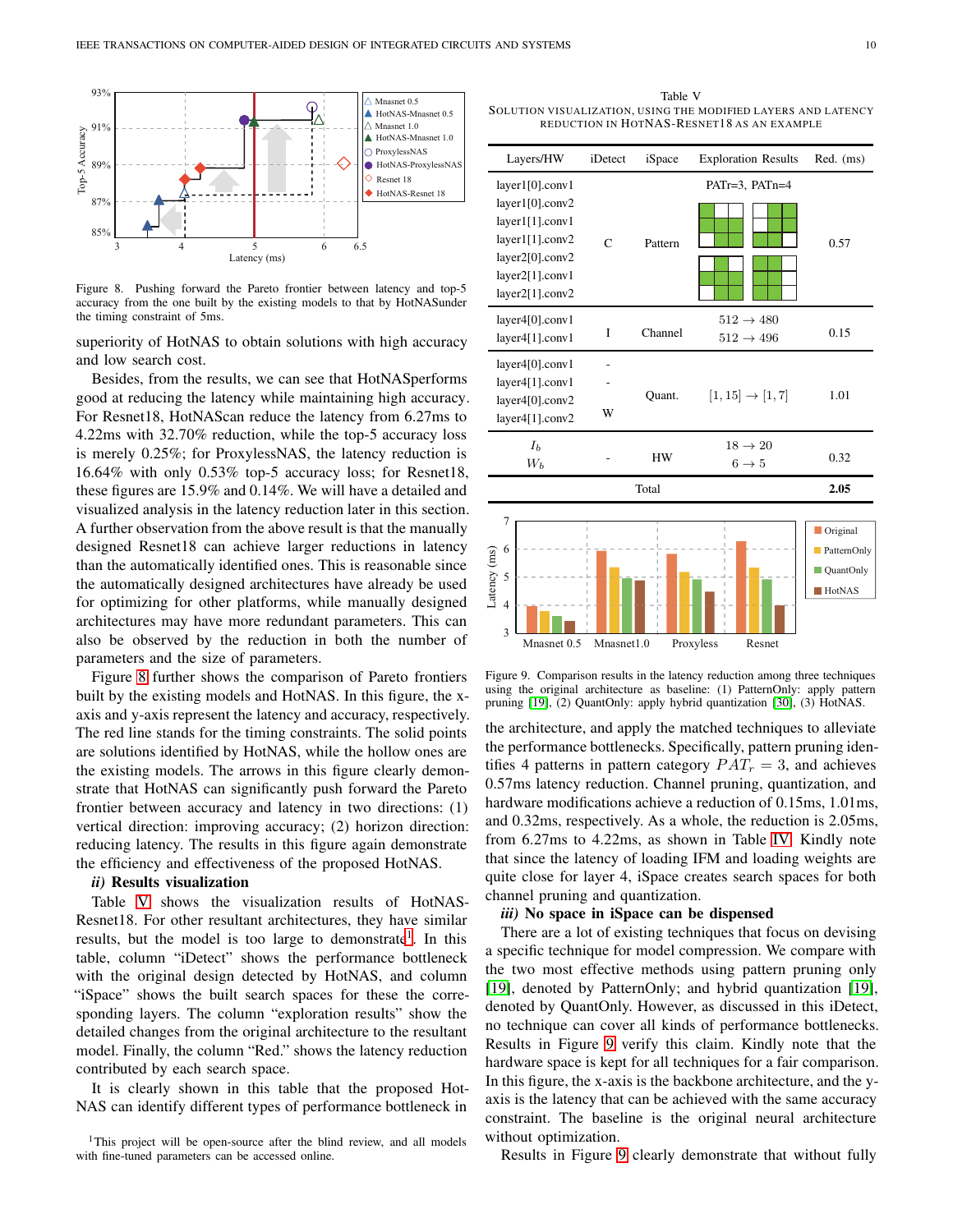

<span id="page-9-0"></span>Figure 8. Pushing forward the Pareto frontier between latency and top-5 accuracy from the one built by the existing models to that by HotNASunder the timing constraint of 5ms.

superiority of HotNAS to obtain solutions with high accuracy and low search cost.

Besides, from the results, we can see that HotNASperforms good at reducing the latency while maintaining high accuracy. For Resnet18, HotNAScan reduce the latency from 6.27ms to 4.22ms with 32.70% reduction, while the top-5 accuracy loss is merely 0.25%; for ProxylessNAS, the latency reduction is 16.64% with only 0.53% top-5 accuracy loss; for Resnet18, these figures are 15.9% and 0.14%. We will have a detailed and visualized analysis in the latency reduction later in this section. A further observation from the above result is that the manually designed Resnet18 can achieve larger reductions in latency than the automatically identified ones. This is reasonable since the automatically designed architectures have already be used for optimizing for other platforms, while manually designed architectures may have more redundant parameters. This can also be observed by the reduction in both the number of parameters and the size of parameters.

Figure [8](#page-9-0) further shows the comparison of Pareto frontiers built by the existing models and HotNAS. In this figure, the xaxis and y-axis represent the latency and accuracy, respectively. The red line stands for the timing constraints. The solid points are solutions identified by HotNAS, while the hollow ones are the existing models. The arrows in this figure clearly demonstrate that HotNAS can significantly push forward the Pareto frontier between accuracy and latency in two directions: (1) vertical direction: improving accuracy; (2) horizon direction: reducing latency. The results in this figure again demonstrate the efficiency and effectiveness of the proposed HotNAS.

# *ii)* Results visualization

Table [V](#page-9-1) shows the visualization results of HotNAS-Resnet18. For other resultant architectures, they have similar results, but the model is too large to demonstrate<sup>[1](#page-9-2)</sup>. In this table, column "iDetect" shows the performance bottleneck with the original design detected by HotNAS, and column "iSpace" shows the built search spaces for these the corresponding layers. The column "exploration results" show the detailed changes from the original architecture to the resultant model. Finally, the column "Red." shows the latency reduction contributed by each search space.

It is clearly shown in this table that the proposed Hot-NAS can identify different types of performance bottleneck in

<span id="page-9-1"></span>Table V SOLUTION VISUALIZATION, US ING THE MODIFIED LAYERS AND LATENCY REDUCTION IN HOTNAS-RESNET18 AS AN EXAMPLE

|                                                    | Layers/HW                                                                                                                         | iDetect        | iSpace  | <b>Exploration Results</b>                     | Red. (ms)                                             |
|----------------------------------------------------|-----------------------------------------------------------------------------------------------------------------------------------|----------------|---------|------------------------------------------------|-------------------------------------------------------|
|                                                    | layer1[0].conv1<br>layer1[0].conv2<br>layer1[1].conv1<br>layer1[1].conv2<br>layer2[0].conv2<br>layer2[1].conv1<br>layer2[1].conv2 | $\overline{C}$ | Pattern | PATr=3, PATn=4                                 | 0.57                                                  |
|                                                    | layer4[0].conv1<br>layer4[1].conv1                                                                                                | I              | Channel | $512 \rightarrow 480$<br>$512 \rightarrow 496$ | 0.15                                                  |
|                                                    | layer4[0].conv1<br>layer4[1].conv1<br>layer4[0].conv2<br>layer4[1].conv2                                                          | W              | Quant.  | $[1, 15] \rightarrow [1, 7]$                   | 1.01                                                  |
|                                                    | I <sub>b</sub><br>$W_b$                                                                                                           |                | HW      | $18 \rightarrow 20$<br>$6 \rightarrow 5$       | 0.32                                                  |
|                                                    |                                                                                                                                   |                | Total   |                                                | 2.05                                                  |
| 7<br>6<br>Latency (ms)<br>5<br>$\overline{4}$<br>3 | Mnasnet 0.5                                                                                                                       | Mnasnet1.0     |         | Proxyless<br>Resnet                            | Original<br>PatternOnly<br>QuantOnly<br><b>HotNAS</b> |

<span id="page-9-3"></span>Figure 9. Comparison results in the latency reduction among three techniques using the original architecture as baseline: (1) PatternOnly: apply pattern pruning [\[19\]](#page-12-12), (2) QuantOnly: apply hybrid quantization [\[30\]](#page-12-15), (3) HotNAS.

the architecture, and apply the matched techniques to alleviate the performance bottlenecks. Specifically, pattern pruning identifies 4 patterns in pattern category  $PAT_r = 3$ , and achieves 0.57ms latency reduction. Channel pruning, quantization, and hardware modifications achieve a reduction of 0.15ms, 1.01ms, and 0.32ms, respectively. As a whole, the reduction is 2.05ms, from 6.27ms to 4.22ms, as shown in Table [IV.](#page-8-0) Kindly note that since the latency of loading IFM and loading weights are quite close for layer 4, iSpace creates search spaces for both channel pruning and quantization.

# *iii)* No space in iSpace can be dispensed

There are a lot of existing techniques that focus on devising a specific technique for model compression. We compare with the two most effective methods using pattern pruning only [\[19\]](#page-12-12), denoted by PatternOnly; and hybrid quantization [\[19\]](#page-12-12), denoted by QuantOnly. However, as discussed in this iDetect, no technique can cover all kinds of performance bottlenecks. Results in Figure [9](#page-9-3) verify this claim. Kindly note that the hardware space is kept for all techniques for a fair comparison. In this figure, the x-axis is the backbone architecture, and the yaxis is the latency that can be achieved with the same accuracy constraint. The baseline is the original neural architecture without optimization.

Results in Figure [9](#page-9-3) clearly demonstrate that without fully

<span id="page-9-2"></span><sup>&</sup>lt;sup>1</sup>This project will be open-source after the blind review, and all models with fine-tuned parameters can be accessed online.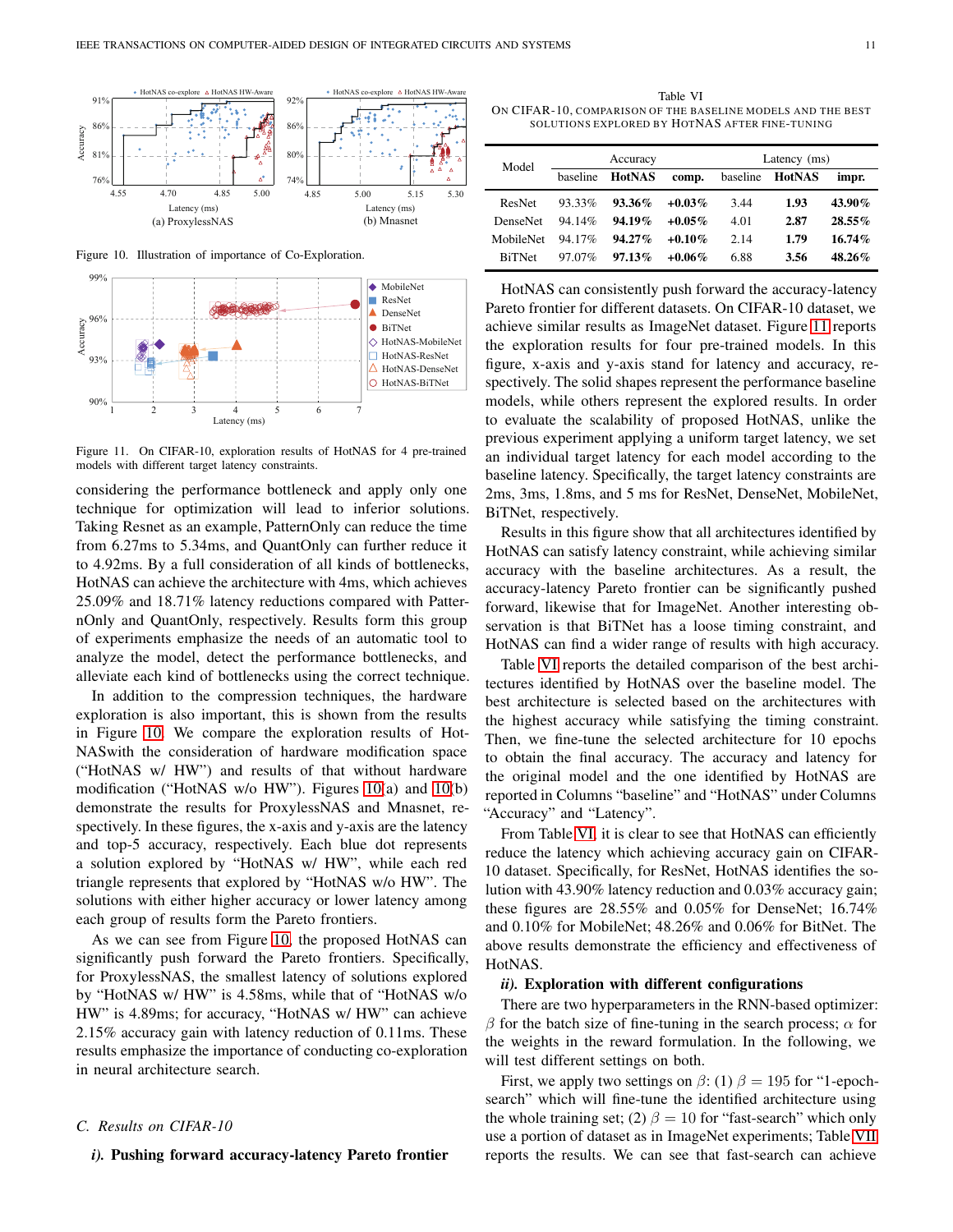

<span id="page-10-0"></span>Figure 10. Illustration of importance of Co-Exploration.



<span id="page-10-1"></span>Figure 11. On CIFAR-10, exploration results of HotNAS for 4 pre-trained models with different target latency constraints.

considering the performance bottleneck and apply only one technique for optimization will lead to inferior solutions. Taking Resnet as an example, PatternOnly can reduce the time from 6.27ms to 5.34ms, and QuantOnly can further reduce it to 4.92ms. By a full consideration of all kinds of bottlenecks, HotNAS can achieve the architecture with 4ms, which achieves 25.09% and 18.71% latency reductions compared with PatternOnly and QuantOnly, respectively. Results form this group of experiments emphasize the needs of an automatic tool to analyze the model, detect the performance bottlenecks, and alleviate each kind of bottlenecks using the correct technique.

In addition to the compression techniques, the hardware exploration is also important, this is shown from the results in Figure [10.](#page-10-0) We compare the exploration results of Hot-NASwith the consideration of hardware modification space ("HotNAS w/ HW") and results of that without hardware modification ("HotNAS w/o HW"). Figures [10\(](#page-10-0)a) and [10\(](#page-10-0)b) demonstrate the results for ProxylessNAS and Mnasnet, respectively. In these figures, the x-axis and y-axis are the latency and top-5 accuracy, respectively. Each blue dot represents a solution explored by "HotNAS w/ HW", while each red triangle represents that explored by "HotNAS w/o HW". The solutions with either higher accuracy or lower latency among each group of results form the Pareto frontiers.

As we can see from Figure [10,](#page-10-0) the proposed HotNAS can significantly push forward the Pareto frontiers. Specifically, for ProxylessNAS, the smallest latency of solutions explored by "HotNAS w/ HW" is 4.58ms, while that of "HotNAS w/o HW" is 4.89ms; for accuracy, "HotNAS w/ HW" can achieve 2.15% accuracy gain with latency reduction of 0.11ms. These results emphasize the importance of conducting co-exploration in neural architecture search.

## *C. Results on CIFAR-10*

## *i).* Pushing forward accuracy-latency Pareto frontier

<span id="page-10-2"></span>Table VI ON CIFAR-10, COMPARISON OF THE BASELINE MODELS AND THE BEST SOLUTIONS EXPLORED BY HOTNAS AFTER FINE-TUNING

| Model           |           | Accuracy      |           | Latency (ms) |                 |           |  |
|-----------------|-----------|---------------|-----------|--------------|-----------------|-----------|--|
|                 | baseline  | <b>HotNAS</b> | comp.     |              | baseline HotNAS | impr.     |  |
| ResNet          | $93.33\%$ | $93.36\%$     | $+0.03\%$ | 3.44         | 1.93            | 43.90%    |  |
| <b>DenseNet</b> | 94.14%    | $94.19\%$     | $+0.05\%$ | 4.01         | 2.87            | $28.55\%$ |  |
| MobileNet       | 94.17%    | $94.27\%$     | $+0.10\%$ | 2.14         | 1.79            | $16.74\%$ |  |
| <b>BiTNet</b>   | 97.07%    | $97.13\%$     | $+0.06\%$ | 6.88         | 3.56            | $48.26\%$ |  |

HotNAS can consistently push forward the accuracy-latency Pareto frontier for different datasets. On CIFAR-10 dataset, we achieve similar results as ImageNet dataset. Figure [11](#page-10-1) reports the exploration results for four pre-trained models. In this figure, x-axis and y-axis stand for latency and accuracy, respectively. The solid shapes represent the performance baseline models, while others represent the explored results. In order to evaluate the scalability of proposed HotNAS, unlike the previous experiment applying a uniform target latency, we set an individual target latency for each model according to the baseline latency. Specifically, the target latency constraints are 2ms, 3ms, 1.8ms, and 5 ms for ResNet, DenseNet, MobileNet, BiTNet, respectively.

Results in this figure show that all architectures identified by HotNAS can satisfy latency constraint, while achieving similar accuracy with the baseline architectures. As a result, the accuracy-latency Pareto frontier can be significantly pushed forward, likewise that for ImageNet. Another interesting observation is that BiTNet has a loose timing constraint, and HotNAS can find a wider range of results with high accuracy.

Table [VI](#page-10-2) reports the detailed comparison of the best architectures identified by HotNAS over the baseline model. The best architecture is selected based on the architectures with the highest accuracy while satisfying the timing constraint. Then, we fine-tune the selected architecture for 10 epochs to obtain the final accuracy. The accuracy and latency for the original model and the one identified by HotNAS are reported in Columns "baseline" and "HotNAS" under Columns "Accuracy" and "Latency".

From Table [VI,](#page-10-2) it is clear to see that HotNAS can efficiently reduce the latency which achieving accuracy gain on CIFAR-10 dataset. Specifically, for ResNet, HotNAS identifies the solution with 43.90% latency reduction and 0.03% accuracy gain; these figures are 28.55% and 0.05% for DenseNet; 16.74% and 0.10% for MobileNet; 48.26% and 0.06% for BitNet. The above results demonstrate the efficiency and effectiveness of HotNAS.

## *ii).* Exploration with different configurations

There are two hyperparameters in the RNN-based optimizer: β for the batch size of fine-tuning in the search process;  $\alpha$  for the weights in the reward formulation. In the following, we will test different settings on both.

First, we apply two settings on  $\beta$ : (1)  $\beta = 195$  for "1-epochsearch" which will fine-tune the identified architecture using the whole training set; (2)  $\beta = 10$  for "fast-search" which only use a portion of dataset as in ImageNet experiments; Table [VII](#page-11-6) reports the results. We can see that fast-search can achieve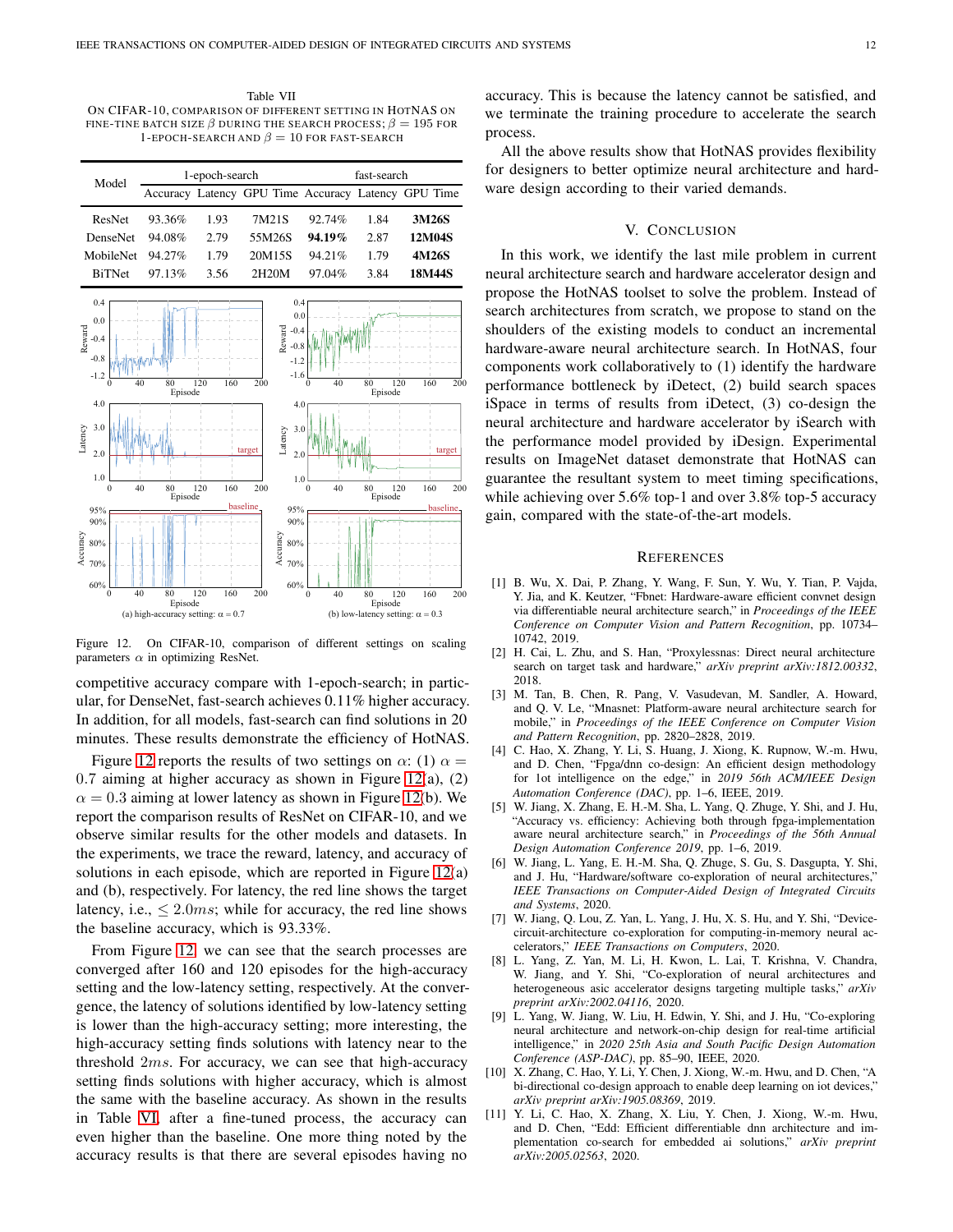<span id="page-11-6"></span>Table VII ON CIFAR-10, COMPARISON OF DIFFERENT SETTING IN HOTNAS ON FINE-TINE BATCH SIZE  $\beta$  during the search process;  $\beta = 195$  for 1-EPOCH-SEARCH AND  $\beta = 10$  FOR FAST-SEARCH

| Model           |           | 1-epoch-search |                                                     | fast-search |      |        |  |
|-----------------|-----------|----------------|-----------------------------------------------------|-------------|------|--------|--|
|                 |           |                | Accuracy Latency GPU Time Accuracy Latency GPU Time |             |      |        |  |
| ResNet          | 93.36%    | 1.93           | 7M21S                                               | 92.74%      | 1.84 | 3M26S  |  |
| <b>DenseNet</b> | 94.08%    | 2.79           | 55M26S                                              | $94.19\%$   | 2.87 | 12M04S |  |
| MobileNet       | $94.27\%$ | 1.79           | 20M15S                                              | 94.21%      | 1.79 | 4M26S  |  |
| <b>BiTNet</b>   | $97.13\%$ | 3.56           | 2H20M                                               | 97.04%      | 3.84 | 18M44S |  |



<span id="page-11-7"></span>Figure 12. On CIFAR-10, comparison of different settings on scaling parameters  $\alpha$  in optimizing ResNet.

competitive accuracy compare with 1-epoch-search; in particular, for DenseNet, fast-search achieves 0.11% higher accuracy. In addition, for all models, fast-search can find solutions in 20 minutes. These results demonstrate the efficiency of HotNAS.

Figure [12](#page-11-7) reports the results of two settings on  $\alpha$ : (1)  $\alpha$  = 0.7 aiming at higher accuracy as shown in Figure [12\(](#page-11-7)a), (2)  $\alpha = 0.3$  aiming at lower latency as shown in Figure [12\(](#page-11-7)b). We report the comparison results of ResNet on CIFAR-10, and we observe similar results for the other models and datasets. In the experiments, we trace the reward, latency, and accuracy of solutions in each episode, which are reported in Figure [12\(](#page-11-7)a) and (b), respectively. For latency, the red line shows the target latency, i.e.,  $\leq 2.0$ ms; while for accuracy, the red line shows the baseline accuracy, which is 93.33%.

From Figure [12,](#page-11-7) we can see that the search processes are converged after 160 and 120 episodes for the high-accuracy setting and the low-latency setting, respectively. At the convergence, the latency of solutions identified by low-latency setting is lower than the high-accuracy setting; more interesting, the high-accuracy setting finds solutions with latency near to the threshold 2ms. For accuracy, we can see that high-accuracy setting finds solutions with higher accuracy, which is almost the same with the baseline accuracy. As shown in the results in Table [VI,](#page-10-2) after a fine-tuned process, the accuracy can even higher than the baseline. One more thing noted by the accuracy results is that there are several episodes having no

accuracy. This is because the latency cannot be satisfied, and we terminate the training procedure to accelerate the search process.

All the above results show that HotNAS provides flexibility for designers to better optimize neural architecture and hardware design according to their varied demands.

# V. CONCLUSION

In this work, we identify the last mile problem in current neural architecture search and hardware accelerator design and propose the HotNAS toolset to solve the problem. Instead of search architectures from scratch, we propose to stand on the shoulders of the existing models to conduct an incremental hardware-aware neural architecture search. In HotNAS, four components work collaboratively to (1) identify the hardware performance bottleneck by iDetect, (2) build search spaces iSpace in terms of results from iDetect, (3) co-design the neural architecture and hardware accelerator by iSearch with the performance model provided by iDesign. Experimental results on ImageNet dataset demonstrate that HotNAS can guarantee the resultant system to meet timing specifications, while achieving over 5.6% top-1 and over 3.8% top-5 accuracy gain, compared with the state-of-the-art models.

## **REFERENCES**

- <span id="page-11-0"></span>[1] B. Wu, X. Dai, P. Zhang, Y. Wang, F. Sun, Y. Wu, Y. Tian, P. Vajda, Y. Jia, and K. Keutzer, "Fbnet: Hardware-aware efficient convnet design via differentiable neural architecture search," in *Proceedings of the IEEE Conference on Computer Vision and Pattern Recognition*, pp. 10734– 10742, 2019.
- <span id="page-11-5"></span>[2] H. Cai, L. Zhu, and S. Han, "Proxylessnas: Direct neural architecture search on target task and hardware," *arXiv preprint arXiv:1812.00332*, 2018.
- <span id="page-11-3"></span>[3] M. Tan, B. Chen, R. Pang, V. Vasudevan, M. Sandler, A. Howard, and Q. V. Le, "Mnasnet: Platform-aware neural architecture search for mobile," in *Proceedings of the IEEE Conference on Computer Vision and Pattern Recognition*, pp. 2820–2828, 2019.
- <span id="page-11-1"></span>[4] C. Hao, X. Zhang, Y. Li, S. Huang, J. Xiong, K. Rupnow, W.-m. Hwu, and D. Chen, "Fpga/dnn co-design: An efficient design methodology for 1ot intelligence on the edge," in *2019 56th ACM/IEEE Design Automation Conference (DAC)*, pp. 1–6, IEEE, 2019.
- <span id="page-11-4"></span>[5] W. Jiang, X. Zhang, E. H.-M. Sha, L. Yang, Q. Zhuge, Y. Shi, and J. Hu, "Accuracy vs. efficiency: Achieving both through fpga-implementation aware neural architecture search," in *Proceedings of the 56th Annual Design Automation Conference 2019*, pp. 1–6, 2019.
- <span id="page-11-2"></span>[6] W. Jiang, L. Yang, E. H.-M. Sha, Q. Zhuge, S. Gu, S. Dasgupta, Y. Shi, and J. Hu, "Hardware/software co-exploration of neural architectures," *IEEE Transactions on Computer-Aided Design of Integrated Circuits and Systems*, 2020.
- [7] W. Jiang, Q. Lou, Z. Yan, L. Yang, J. Hu, X. S. Hu, and Y. Shi, "Devicecircuit-architecture co-exploration for computing-in-memory neural accelerators," *IEEE Transactions on Computers*, 2020.
- [8] L. Yang, Z. Yan, M. Li, H. Kwon, L. Lai, T. Krishna, V. Chandra, W. Jiang, and Y. Shi, "Co-exploration of neural architectures and heterogeneous asic accelerator designs targeting multiple tasks," *arXiv preprint arXiv:2002.04116*, 2020.
- [9] L. Yang, W. Jiang, W. Liu, H. Edwin, Y. Shi, and J. Hu, "Co-exploring neural architecture and network-on-chip design for real-time artificial intelligence," in *2020 25th Asia and South Pacific Design Automation Conference (ASP-DAC)*, pp. 85–90, IEEE, 2020.
- [10] X. Zhang, C. Hao, Y. Li, Y. Chen, J. Xiong, W.-m. Hwu, and D. Chen, "A bi-directional co-design approach to enable deep learning on iot devices," *arXiv preprint arXiv:1905.08369*, 2019.
- [11] Y. Li, C. Hao, X. Zhang, X. Liu, Y. Chen, J. Xiong, W.-m. Hwu, and D. Chen, "Edd: Efficient differentiable dnn architecture and implementation co-search for embedded ai solutions," *arXiv preprint arXiv:2005.02563*, 2020.